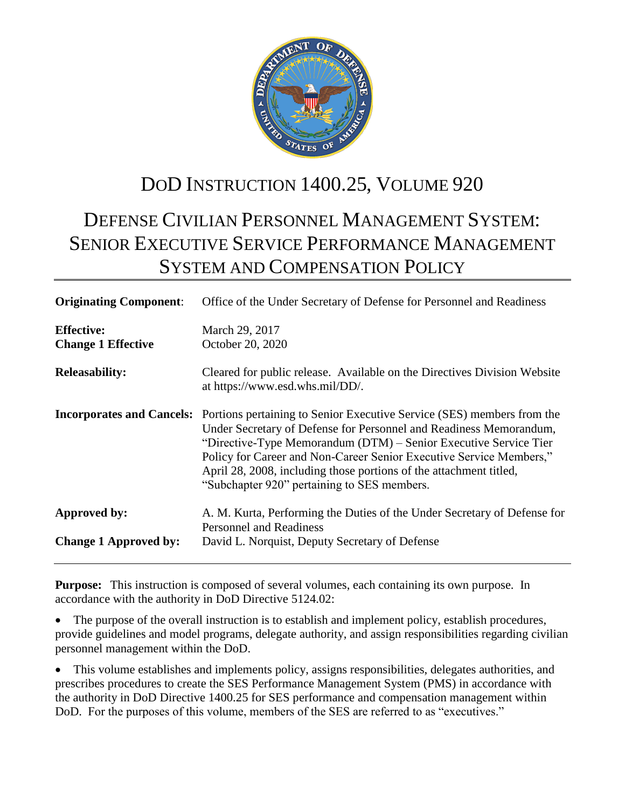

# DOD INSTRUCTION 1400.25, VOLUME 920

# DEFENSE CIVILIAN PERSONNEL MANAGEMENT SYSTEM: SENIOR EXECUTIVE SERVICE PERFORMANCE MANAGEMENT SYSTEM AND COMPENSATION POLICY

| <b>Originating Component:</b>                  | Office of the Under Secretary of Defense for Personnel and Readiness                                                                                                                                                                                                                                                                                                                                                                          |  |  |
|------------------------------------------------|-----------------------------------------------------------------------------------------------------------------------------------------------------------------------------------------------------------------------------------------------------------------------------------------------------------------------------------------------------------------------------------------------------------------------------------------------|--|--|
| <b>Effective:</b><br><b>Change 1 Effective</b> | March 29, 2017<br>October 20, 2020                                                                                                                                                                                                                                                                                                                                                                                                            |  |  |
| <b>Releasability:</b>                          | Cleared for public release. Available on the Directives Division Website<br>at https://www.esd.whs.mil/DD/.                                                                                                                                                                                                                                                                                                                                   |  |  |
|                                                | <b>Incorporates and Cancels:</b> Portions pertaining to Senior Executive Service (SES) members from the<br>Under Secretary of Defense for Personnel and Readiness Memorandum,<br>"Directive-Type Memorandum (DTM) – Senior Executive Service Tier<br>Policy for Career and Non-Career Senior Executive Service Members,"<br>April 28, 2008, including those portions of the attachment titled,<br>"Subchapter 920" pertaining to SES members. |  |  |
| Approved by:                                   | A. M. Kurta, Performing the Duties of the Under Secretary of Defense for<br><b>Personnel and Readiness</b>                                                                                                                                                                                                                                                                                                                                    |  |  |
| <b>Change 1 Approved by:</b>                   | David L. Norquist, Deputy Secretary of Defense                                                                                                                                                                                                                                                                                                                                                                                                |  |  |

**Purpose:** This instruction is composed of several volumes, each containing its own purpose. In accordance with the authority in DoD Directive 5124.02:

 The purpose of the overall instruction is to establish and implement policy, establish procedures, provide guidelines and model programs, delegate authority, and assign responsibilities regarding civilian personnel management within the DoD.

 This volume establishes and implements policy, assigns responsibilities, delegates authorities, and prescribes procedures to create the SES Performance Management System (PMS) in accordance with the authority in DoD Directive 1400.25 for SES performance and compensation management within DoD. For the purposes of this volume, members of the SES are referred to as "executives."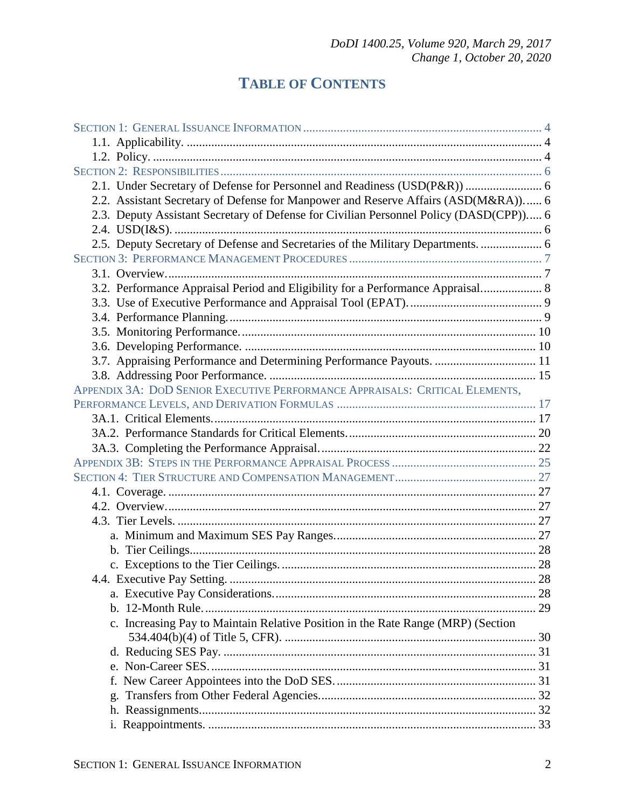## **TABLE OF CONTENTS**

| 2.1. Under Secretary of Defense for Personnel and Readiness (USD(P&R))  6              |  |
|----------------------------------------------------------------------------------------|--|
| 2.2. Assistant Secretary of Defense for Manpower and Reserve Affairs (ASD(M&RA)) 6     |  |
| 2.3. Deputy Assistant Secretary of Defense for Civilian Personnel Policy (DASD(CPP)) 6 |  |
|                                                                                        |  |
| 2.5. Deputy Secretary of Defense and Secretaries of the Military Departments.  6       |  |
|                                                                                        |  |
|                                                                                        |  |
| 3.2. Performance Appraisal Period and Eligibility for a Performance Appraisal 8        |  |
|                                                                                        |  |
|                                                                                        |  |
|                                                                                        |  |
|                                                                                        |  |
| 3.7. Appraising Performance and Determining Performance Payouts.  11                   |  |
|                                                                                        |  |
| APPENDIX 3A: DOD SENIOR EXECUTIVE PERFORMANCE APPRAISALS: CRITICAL ELEMENTS.           |  |
|                                                                                        |  |
|                                                                                        |  |
|                                                                                        |  |
|                                                                                        |  |
|                                                                                        |  |
|                                                                                        |  |
|                                                                                        |  |
|                                                                                        |  |
|                                                                                        |  |
|                                                                                        |  |
|                                                                                        |  |
|                                                                                        |  |
|                                                                                        |  |
|                                                                                        |  |
|                                                                                        |  |
| c. Increasing Pay to Maintain Relative Position in the Rate Range (MRP) (Section       |  |
|                                                                                        |  |
|                                                                                        |  |
|                                                                                        |  |
|                                                                                        |  |
| g.                                                                                     |  |
|                                                                                        |  |
|                                                                                        |  |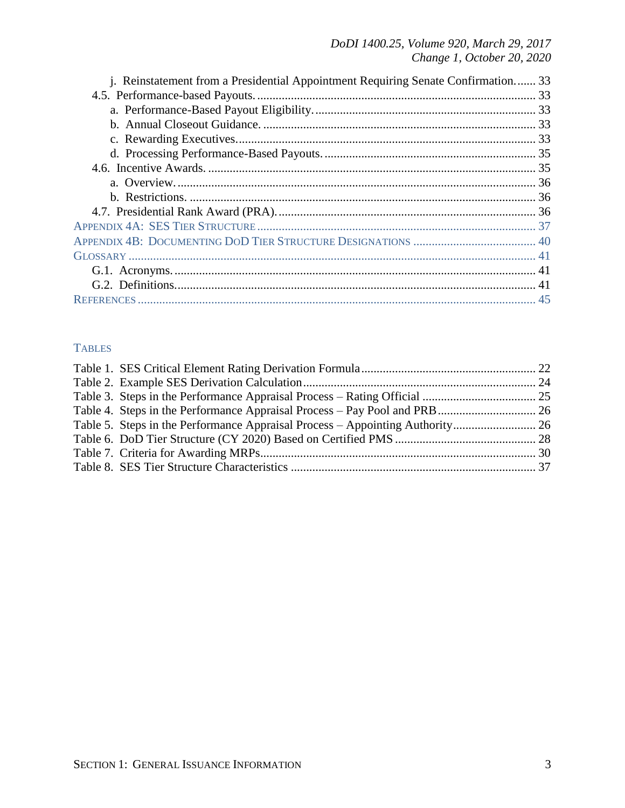| j. Reinstatement from a Presidential Appointment Requiring Senate Confirmation 33 |  |
|-----------------------------------------------------------------------------------|--|
|                                                                                   |  |
|                                                                                   |  |
|                                                                                   |  |
|                                                                                   |  |
|                                                                                   |  |
|                                                                                   |  |
|                                                                                   |  |
|                                                                                   |  |
|                                                                                   |  |
|                                                                                   |  |
|                                                                                   |  |
|                                                                                   |  |
|                                                                                   |  |
|                                                                                   |  |
|                                                                                   |  |

### **TABLES**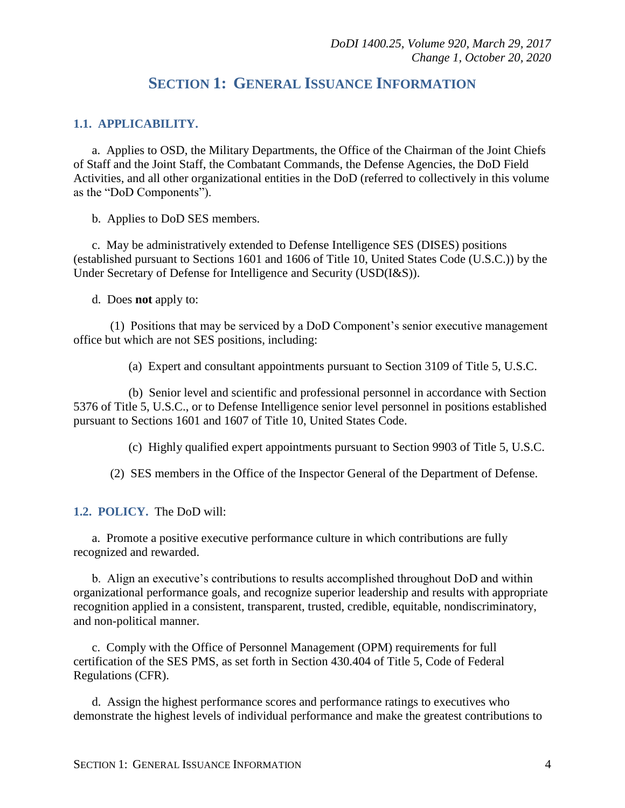## **SECTION 1: GENERAL ISSUANCE INFORMATION**

#### <span id="page-3-1"></span><span id="page-3-0"></span>**1.1. APPLICABILITY.**

a. Applies to OSD, the Military Departments, the Office of the Chairman of the Joint Chiefs of Staff and the Joint Staff, the Combatant Commands, the Defense Agencies, the DoD Field Activities, and all other organizational entities in the DoD (referred to collectively in this volume as the "DoD Components").

b. Applies to DoD SES members.

c. May be administratively extended to Defense Intelligence SES (DISES) positions (established pursuant to Sections 1601 and 1606 of Title 10, United States Code (U.S.C.)) by the Under Secretary of Defense for Intelligence and Security (USD(I&S)).

d. Does **not** apply to:

(1) Positions that may be serviced by a DoD Component's senior executive management office but which are not SES positions, including:

(a) Expert and consultant appointments pursuant to Section 3109 of Title 5, U.S.C.

(b) Senior level and scientific and professional personnel in accordance with Section 5376 of Title 5, U.S.C., or to Defense Intelligence senior level personnel in positions established pursuant to Sections 1601 and 1607 of Title 10, United States Code.

(c) Highly qualified expert appointments pursuant to Section 9903 of Title 5, U.S.C.

(2) SES members in the Office of the Inspector General of the Department of Defense.

<span id="page-3-2"></span>**1.2. POLICY.** The DoD will:

a. Promote a positive executive performance culture in which contributions are fully recognized and rewarded.

b. Align an executive's contributions to results accomplished throughout DoD and within organizational performance goals, and recognize superior leadership and results with appropriate recognition applied in a consistent, transparent, trusted, credible, equitable, nondiscriminatory, and non-political manner.

c. Comply with the Office of Personnel Management (OPM) requirements for full certification of the SES PMS, as set forth in Section 430.404 of Title 5, Code of Federal Regulations (CFR).

d. Assign the highest performance scores and performance ratings to executives who demonstrate the highest levels of individual performance and make the greatest contributions to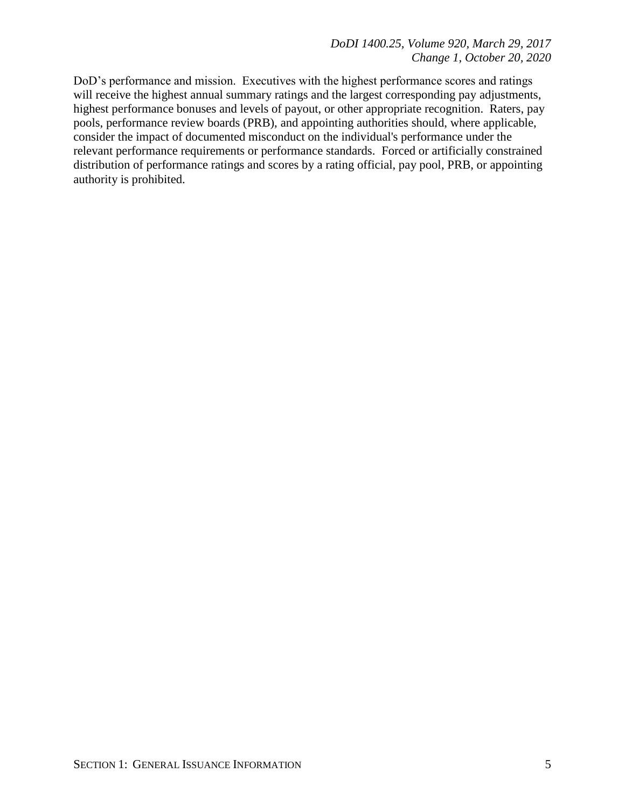DoD's performance and mission. Executives with the highest performance scores and ratings will receive the highest annual summary ratings and the largest corresponding pay adjustments, highest performance bonuses and levels of payout, or other appropriate recognition. Raters, pay pools, performance review boards (PRB), and appointing authorities should, where applicable, consider the impact of documented misconduct on the individual's performance under the relevant performance requirements or performance standards. Forced or artificially constrained distribution of performance ratings and scores by a rating official, pay pool, PRB, or appointing authority is prohibited.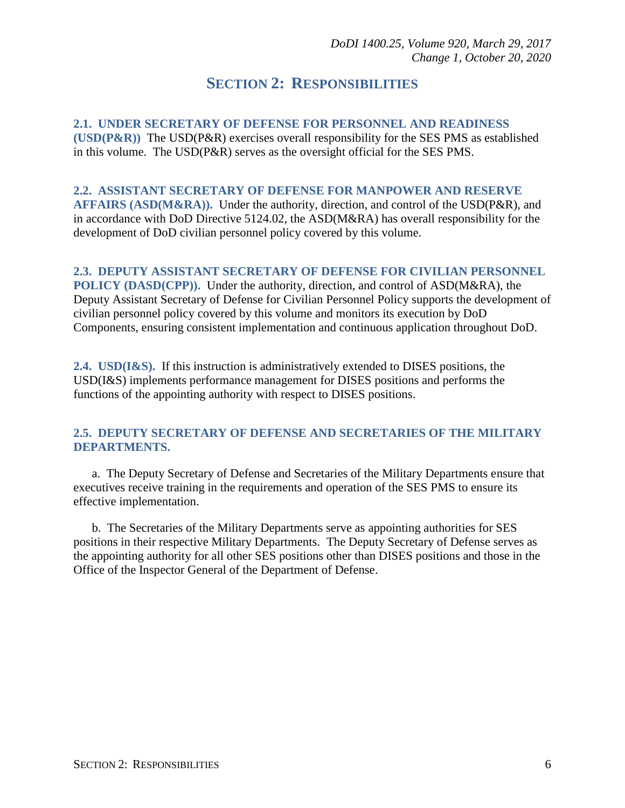## **SECTION 2: RESPONSIBILITIES**

<span id="page-5-1"></span><span id="page-5-0"></span>**2.1. UNDER SECRETARY OF DEFENSE FOR PERSONNEL AND READINESS (USD(P&R))** The USD(P&R) exercises overall responsibility for the SES PMS as established in this volume. The USD(P&R) serves as the oversight official for the SES PMS.

#### <span id="page-5-2"></span>**2.2. ASSISTANT SECRETARY OF DEFENSE FOR MANPOWER AND RESERVE**

**AFFAIRS (ASD(M&RA)).** Under the authority, direction, and control of the USD(P&R), and in accordance with DoD Directive 5124.02, the ASD(M&RA) has overall responsibility for the development of DoD civilian personnel policy covered by this volume.

#### <span id="page-5-3"></span>**2.3. DEPUTY ASSISTANT SECRETARY OF DEFENSE FOR CIVILIAN PERSONNEL**

**POLICY (DASD(CPP)).** Under the authority, direction, and control of ASD(M&RA), the Deputy Assistant Secretary of Defense for Civilian Personnel Policy supports the development of civilian personnel policy covered by this volume and monitors its execution by DoD Components, ensuring consistent implementation and continuous application throughout DoD.

<span id="page-5-4"></span>**2.4. USD(I&S).** If this instruction is administratively extended to DISES positions, the USD(I&S) implements performance management for DISES positions and performs the functions of the appointing authority with respect to DISES positions.

#### <span id="page-5-5"></span>**2.5. DEPUTY SECRETARY OF DEFENSE AND SECRETARIES OF THE MILITARY DEPARTMENTS.**

a. The Deputy Secretary of Defense and Secretaries of the Military Departments ensure that executives receive training in the requirements and operation of the SES PMS to ensure its effective implementation.

b. The Secretaries of the Military Departments serve as appointing authorities for SES positions in their respective Military Departments. The Deputy Secretary of Defense serves as the appointing authority for all other SES positions other than DISES positions and those in the Office of the Inspector General of the Department of Defense.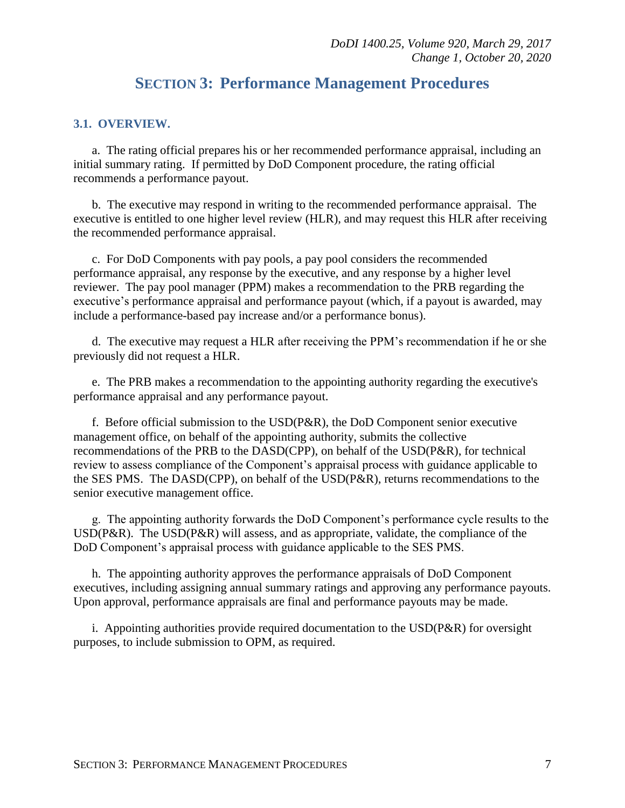## **SECTION 3: Performance Management Procedures**

#### <span id="page-6-1"></span><span id="page-6-0"></span>**3.1. OVERVIEW.**

a. The rating official prepares his or her recommended performance appraisal, including an initial summary rating. If permitted by DoD Component procedure, the rating official recommends a performance payout.

b. The executive may respond in writing to the recommended performance appraisal. The executive is entitled to one higher level review (HLR), and may request this HLR after receiving the recommended performance appraisal.

c. For DoD Components with pay pools, a pay pool considers the recommended performance appraisal, any response by the executive, and any response by a higher level reviewer. The pay pool manager (PPM) makes a recommendation to the PRB regarding the executive's performance appraisal and performance payout (which, if a payout is awarded, may include a performance-based pay increase and/or a performance bonus).

d. The executive may request a HLR after receiving the PPM's recommendation if he or she previously did not request a HLR.

e. The PRB makes a recommendation to the appointing authority regarding the executive's performance appraisal and any performance payout.

f. Before official submission to the USD(P&R), the DoD Component senior executive management office, on behalf of the appointing authority, submits the collective recommendations of the PRB to the DASD(CPP), on behalf of the USD(P&R), for technical review to assess compliance of the Component's appraisal process with guidance applicable to the SES PMS. The DASD(CPP), on behalf of the USD(P&R), returns recommendations to the senior executive management office.

g. The appointing authority forwards the DoD Component's performance cycle results to the USD(P&R). The USD(P&R) will assess, and as appropriate, validate, the compliance of the DoD Component's appraisal process with guidance applicable to the SES PMS.

h. The appointing authority approves the performance appraisals of DoD Component executives, including assigning annual summary ratings and approving any performance payouts. Upon approval, performance appraisals are final and performance payouts may be made.

i. Appointing authorities provide required documentation to the USD(P&R) for oversight purposes, to include submission to OPM, as required.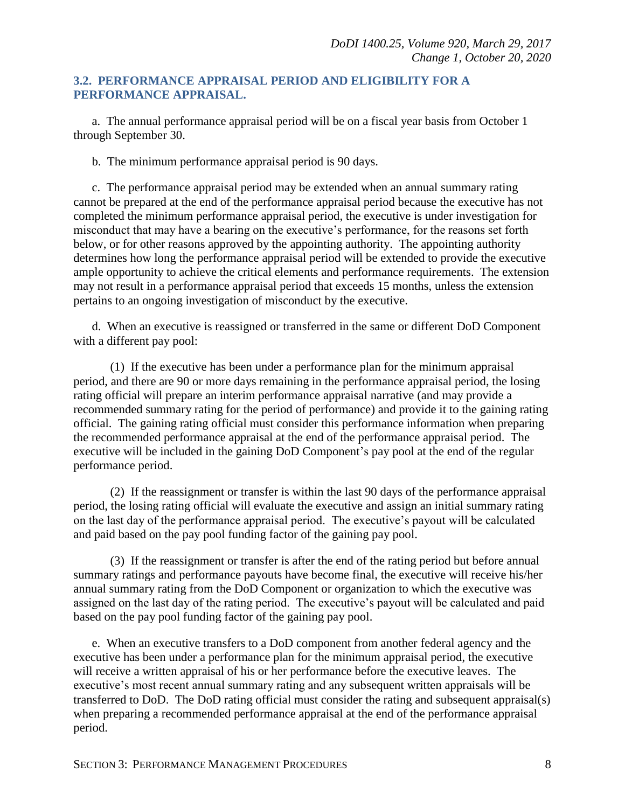#### <span id="page-7-0"></span>**3.2. PERFORMANCE APPRAISAL PERIOD AND ELIGIBILITY FOR A PERFORMANCE APPRAISAL.**

a. The annual performance appraisal period will be on a fiscal year basis from October 1 through September 30.

b. The minimum performance appraisal period is 90 days.

c. The performance appraisal period may be extended when an annual summary rating cannot be prepared at the end of the performance appraisal period because the executive has not completed the minimum performance appraisal period, the executive is under investigation for misconduct that may have a bearing on the executive's performance, for the reasons set forth below, or for other reasons approved by the appointing authority. The appointing authority determines how long the performance appraisal period will be extended to provide the executive ample opportunity to achieve the critical elements and performance requirements. The extension may not result in a performance appraisal period that exceeds 15 months, unless the extension pertains to an ongoing investigation of misconduct by the executive.

d. When an executive is reassigned or transferred in the same or different DoD Component with a different pay pool:

(1) If the executive has been under a performance plan for the minimum appraisal period, and there are 90 or more days remaining in the performance appraisal period, the losing rating official will prepare an interim performance appraisal narrative (and may provide a recommended summary rating for the period of performance) and provide it to the gaining rating official. The gaining rating official must consider this performance information when preparing the recommended performance appraisal at the end of the performance appraisal period. The executive will be included in the gaining DoD Component's pay pool at the end of the regular performance period.

(2) If the reassignment or transfer is within the last 90 days of the performance appraisal period, the losing rating official will evaluate the executive and assign an initial summary rating on the last day of the performance appraisal period. The executive's payout will be calculated and paid based on the pay pool funding factor of the gaining pay pool.

(3) If the reassignment or transfer is after the end of the rating period but before annual summary ratings and performance payouts have become final, the executive will receive his/her annual summary rating from the DoD Component or organization to which the executive was assigned on the last day of the rating period. The executive's payout will be calculated and paid based on the pay pool funding factor of the gaining pay pool.

e. When an executive transfers to a DoD component from another federal agency and the executive has been under a performance plan for the minimum appraisal period, the executive will receive a written appraisal of his or her performance before the executive leaves. The executive's most recent annual summary rating and any subsequent written appraisals will be transferred to DoD. The DoD rating official must consider the rating and subsequent appraisal(s) when preparing a recommended performance appraisal at the end of the performance appraisal period.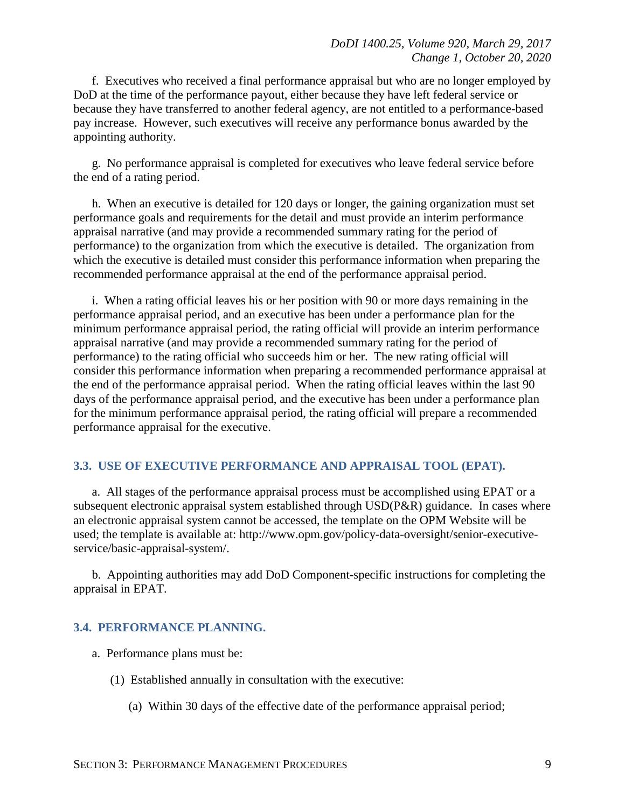f. Executives who received a final performance appraisal but who are no longer employed by DoD at the time of the performance payout, either because they have left federal service or because they have transferred to another federal agency, are not entitled to a performance-based pay increase. However, such executives will receive any performance bonus awarded by the appointing authority.

g. No performance appraisal is completed for executives who leave federal service before the end of a rating period.

h. When an executive is detailed for 120 days or longer, the gaining organization must set performance goals and requirements for the detail and must provide an interim performance appraisal narrative (and may provide a recommended summary rating for the period of performance) to the organization from which the executive is detailed. The organization from which the executive is detailed must consider this performance information when preparing the recommended performance appraisal at the end of the performance appraisal period.

i. When a rating official leaves his or her position with 90 or more days remaining in the performance appraisal period, and an executive has been under a performance plan for the minimum performance appraisal period, the rating official will provide an interim performance appraisal narrative (and may provide a recommended summary rating for the period of performance) to the rating official who succeeds him or her. The new rating official will consider this performance information when preparing a recommended performance appraisal at the end of the performance appraisal period. When the rating official leaves within the last 90 days of the performance appraisal period, and the executive has been under a performance plan for the minimum performance appraisal period, the rating official will prepare a recommended performance appraisal for the executive.

#### <span id="page-8-0"></span>**3.3. USE OF EXECUTIVE PERFORMANCE AND APPRAISAL TOOL (EPAT).**

a. All stages of the performance appraisal process must be accomplished using EPAT or a subsequent electronic appraisal system established through USD(P&R) guidance. In cases where an electronic appraisal system cannot be accessed, the template on the OPM Website will be used; the template is available at: http://www.opm.gov/policy-data-oversight/senior-executiveservice/basic-appraisal-system/.

b. Appointing authorities may add DoD Component-specific instructions for completing the appraisal in EPAT.

#### <span id="page-8-1"></span>**3.4. PERFORMANCE PLANNING.**

- a. Performance plans must be:
	- (1) Established annually in consultation with the executive:
		- (a) Within 30 days of the effective date of the performance appraisal period;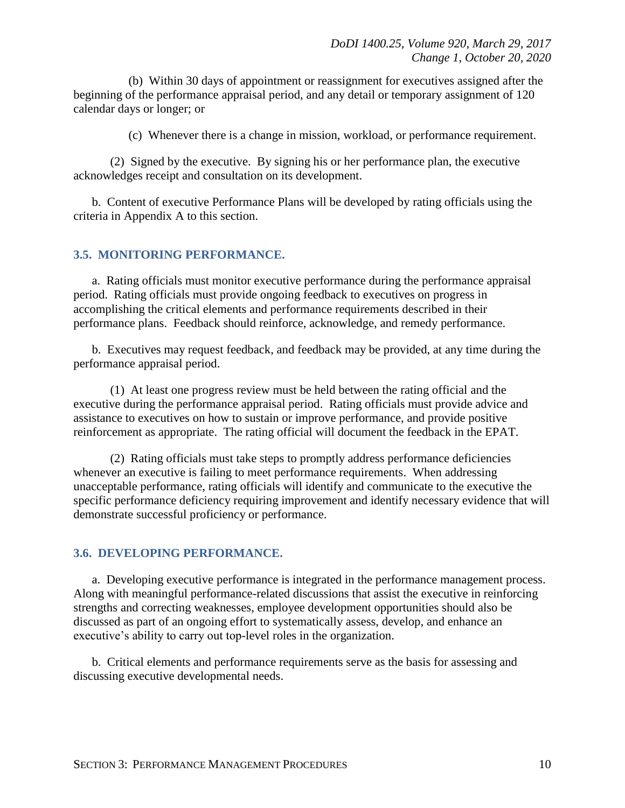(b) Within 30 days of appointment or reassignment for executives assigned after the beginning of the performance appraisal period, and any detail or temporary assignment of 120 calendar days or longer; or

(c) Whenever there is a change in mission, workload, or performance requirement.

(2) Signed by the executive. By signing his or her performance plan, the executive acknowledges receipt and consultation on its development.

b. Content of executive Performance Plans will be developed by rating officials using the criteria in Appendix A to this section.

#### <span id="page-9-0"></span>**3.5. MONITORING PERFORMANCE.**

a. Rating officials must monitor executive performance during the performance appraisal period. Rating officials must provide ongoing feedback to executives on progress in accomplishing the critical elements and performance requirements described in their performance plans. Feedback should reinforce, acknowledge, and remedy performance.

b. Executives may request feedback, and feedback may be provided, at any time during the performance appraisal period.

(1) At least one progress review must be held between the rating official and the executive during the performance appraisal period. Rating officials must provide advice and assistance to executives on how to sustain or improve performance, and provide positive reinforcement as appropriate. The rating official will document the feedback in the EPAT.

(2) Rating officials must take steps to promptly address performance deficiencies whenever an executive is failing to meet performance requirements. When addressing unacceptable performance, rating officials will identify and communicate to the executive the specific performance deficiency requiring improvement and identify necessary evidence that will demonstrate successful proficiency or performance.

#### <span id="page-9-1"></span>**3.6. DEVELOPING PERFORMANCE.**

a. Developing executive performance is integrated in the performance management process. Along with meaningful performance-related discussions that assist the executive in reinforcing strengths and correcting weaknesses, employee development opportunities should also be discussed as part of an ongoing effort to systematically assess, develop, and enhance an executive's ability to carry out top-level roles in the organization.

b. Critical elements and performance requirements serve as the basis for assessing and discussing executive developmental needs.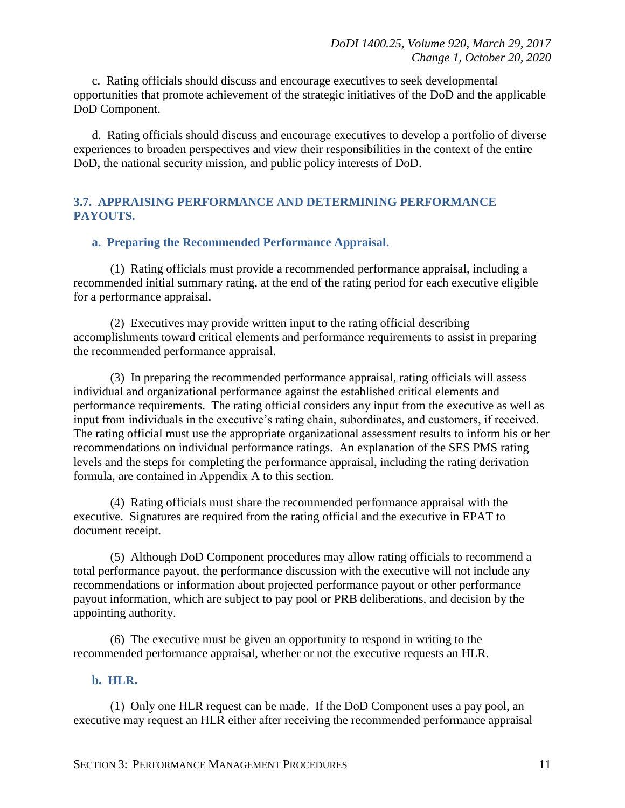c. Rating officials should discuss and encourage executives to seek developmental opportunities that promote achievement of the strategic initiatives of the DoD and the applicable DoD Component.

d. Rating officials should discuss and encourage executives to develop a portfolio of diverse experiences to broaden perspectives and view their responsibilities in the context of the entire DoD, the national security mission, and public policy interests of DoD.

#### <span id="page-10-0"></span>**3.7. APPRAISING PERFORMANCE AND DETERMINING PERFORMANCE PAYOUTS.**

#### **a. Preparing the Recommended Performance Appraisal.**

(1) Rating officials must provide a recommended performance appraisal, including a recommended initial summary rating, at the end of the rating period for each executive eligible for a performance appraisal.

(2) Executives may provide written input to the rating official describing accomplishments toward critical elements and performance requirements to assist in preparing the recommended performance appraisal.

(3) In preparing the recommended performance appraisal, rating officials will assess individual and organizational performance against the established critical elements and performance requirements. The rating official considers any input from the executive as well as input from individuals in the executive's rating chain, subordinates, and customers, if received. The rating official must use the appropriate organizational assessment results to inform his or her recommendations on individual performance ratings. An explanation of the SES PMS rating levels and the steps for completing the performance appraisal, including the rating derivation formula, are contained in Appendix A to this section.

(4) Rating officials must share the recommended performance appraisal with the executive. Signatures are required from the rating official and the executive in EPAT to document receipt.

(5) Although DoD Component procedures may allow rating officials to recommend a total performance payout, the performance discussion with the executive will not include any recommendations or information about projected performance payout or other performance payout information, which are subject to pay pool or PRB deliberations, and decision by the appointing authority.

(6) The executive must be given an opportunity to respond in writing to the recommended performance appraisal, whether or not the executive requests an HLR.

#### **b. HLR.**

(1) Only one HLR request can be made. If the DoD Component uses a pay pool, an executive may request an HLR either after receiving the recommended performance appraisal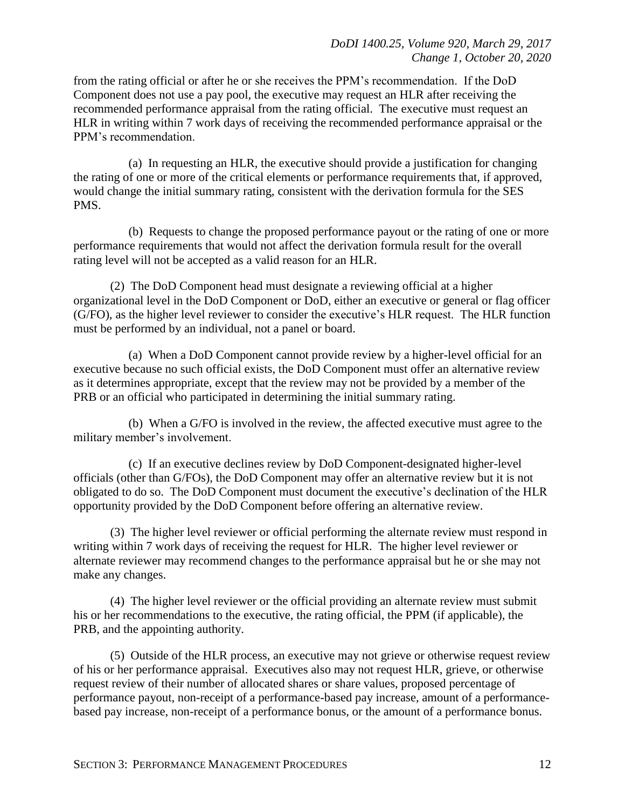from the rating official or after he or she receives the PPM's recommendation. If the DoD Component does not use a pay pool, the executive may request an HLR after receiving the recommended performance appraisal from the rating official. The executive must request an HLR in writing within 7 work days of receiving the recommended performance appraisal or the PPM's recommendation.

(a) In requesting an HLR, the executive should provide a justification for changing the rating of one or more of the critical elements or performance requirements that, if approved, would change the initial summary rating, consistent with the derivation formula for the SES PMS.

(b) Requests to change the proposed performance payout or the rating of one or more performance requirements that would not affect the derivation formula result for the overall rating level will not be accepted as a valid reason for an HLR.

(2) The DoD Component head must designate a reviewing official at a higher organizational level in the DoD Component or DoD, either an executive or general or flag officer (G/FO), as the higher level reviewer to consider the executive's HLR request. The HLR function must be performed by an individual, not a panel or board.

(a) When a DoD Component cannot provide review by a higher-level official for an executive because no such official exists, the DoD Component must offer an alternative review as it determines appropriate, except that the review may not be provided by a member of the PRB or an official who participated in determining the initial summary rating.

(b) When a G/FO is involved in the review, the affected executive must agree to the military member's involvement.

(c) If an executive declines review by DoD Component-designated higher-level officials (other than G/FOs), the DoD Component may offer an alternative review but it is not obligated to do so. The DoD Component must document the executive's declination of the HLR opportunity provided by the DoD Component before offering an alternative review.

(3) The higher level reviewer or official performing the alternate review must respond in writing within 7 work days of receiving the request for HLR. The higher level reviewer or alternate reviewer may recommend changes to the performance appraisal but he or she may not make any changes.

(4) The higher level reviewer or the official providing an alternate review must submit his or her recommendations to the executive, the rating official, the PPM (if applicable), the PRB, and the appointing authority.

(5) Outside of the HLR process, an executive may not grieve or otherwise request review of his or her performance appraisal. Executives also may not request HLR, grieve, or otherwise request review of their number of allocated shares or share values, proposed percentage of performance payout, non-receipt of a performance-based pay increase, amount of a performancebased pay increase, non-receipt of a performance bonus, or the amount of a performance bonus.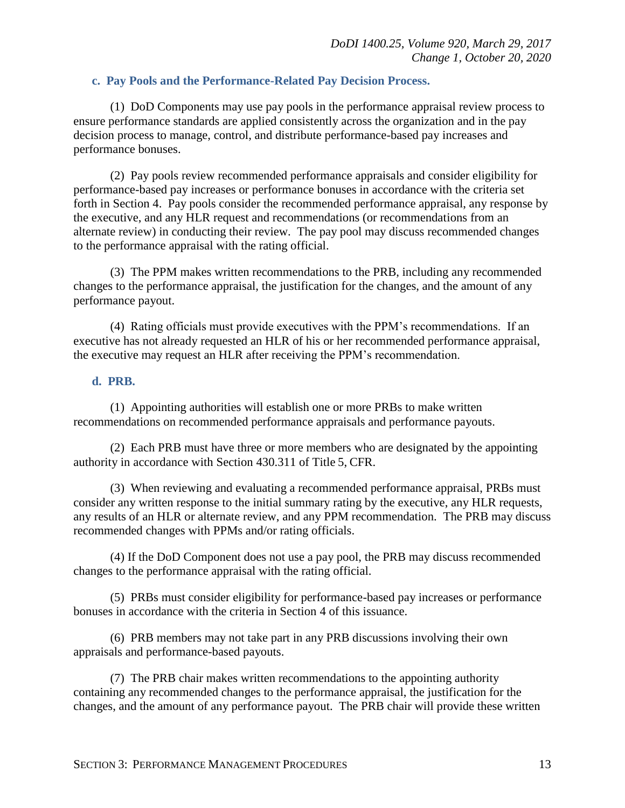#### **c. Pay Pools and the Performance-Related Pay Decision Process.**

(1) DoD Components may use pay pools in the performance appraisal review process to ensure performance standards are applied consistently across the organization and in the pay decision process to manage, control, and distribute performance-based pay increases and performance bonuses.

(2) Pay pools review recommended performance appraisals and consider eligibility for performance-based pay increases or performance bonuses in accordance with the criteria set forth in Section 4. Pay pools consider the recommended performance appraisal, any response by the executive, and any HLR request and recommendations (or recommendations from an alternate review) in conducting their review. The pay pool may discuss recommended changes to the performance appraisal with the rating official.

(3) The PPM makes written recommendations to the PRB, including any recommended changes to the performance appraisal, the justification for the changes, and the amount of any performance payout.

(4) Rating officials must provide executives with the PPM's recommendations. If an executive has not already requested an HLR of his or her recommended performance appraisal, the executive may request an HLR after receiving the PPM's recommendation.

#### **d. PRB.**

(1) Appointing authorities will establish one or more PRBs to make written recommendations on recommended performance appraisals and performance payouts.

(2) Each PRB must have three or more members who are designated by the appointing authority in accordance with Section 430.311 of Title 5, CFR.

(3) When reviewing and evaluating a recommended performance appraisal, PRBs must consider any written response to the initial summary rating by the executive, any HLR requests, any results of an HLR or alternate review, and any PPM recommendation. The PRB may discuss recommended changes with PPMs and/or rating officials.

(4) If the DoD Component does not use a pay pool, the PRB may discuss recommended changes to the performance appraisal with the rating official.

(5) PRBs must consider eligibility for performance-based pay increases or performance bonuses in accordance with the criteria in Section 4 of this issuance.

(6) PRB members may not take part in any PRB discussions involving their own appraisals and performance-based payouts.

(7) The PRB chair makes written recommendations to the appointing authority containing any recommended changes to the performance appraisal, the justification for the changes, and the amount of any performance payout. The PRB chair will provide these written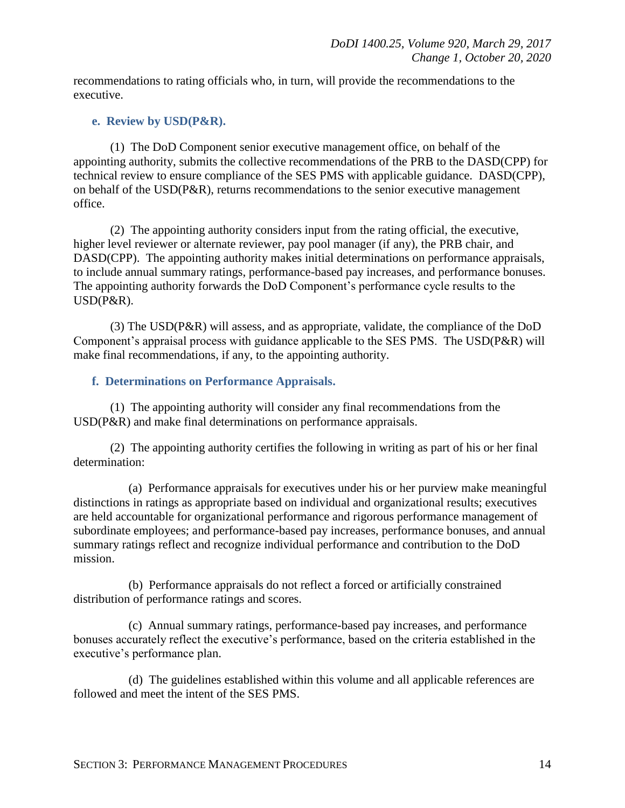recommendations to rating officials who, in turn, will provide the recommendations to the executive.

#### **e. Review by USD(P&R).**

(1) The DoD Component senior executive management office, on behalf of the appointing authority, submits the collective recommendations of the PRB to the DASD(CPP) for technical review to ensure compliance of the SES PMS with applicable guidance. DASD(CPP), on behalf of the USD(P&R), returns recommendations to the senior executive management office.

(2) The appointing authority considers input from the rating official, the executive, higher level reviewer or alternate reviewer, pay pool manager (if any), the PRB chair, and DASD(CPP). The appointing authority makes initial determinations on performance appraisals, to include annual summary ratings, performance-based pay increases, and performance bonuses. The appointing authority forwards the DoD Component's performance cycle results to the USD(P&R).

(3) The USD(P&R) will assess, and as appropriate, validate, the compliance of the DoD Component's appraisal process with guidance applicable to the SES PMS. The USD(P&R) will make final recommendations, if any, to the appointing authority.

#### **f. Determinations on Performance Appraisals.**

(1) The appointing authority will consider any final recommendations from the USD(P&R) and make final determinations on performance appraisals.

(2) The appointing authority certifies the following in writing as part of his or her final determination:

(a) Performance appraisals for executives under his or her purview make meaningful distinctions in ratings as appropriate based on individual and organizational results; executives are held accountable for organizational performance and rigorous performance management of subordinate employees; and performance-based pay increases, performance bonuses, and annual summary ratings reflect and recognize individual performance and contribution to the DoD mission.

(b) Performance appraisals do not reflect a forced or artificially constrained distribution of performance ratings and scores.

(c) Annual summary ratings, performance-based pay increases, and performance bonuses accurately reflect the executive's performance, based on the criteria established in the executive's performance plan.

(d) The guidelines established within this volume and all applicable references are followed and meet the intent of the SES PMS.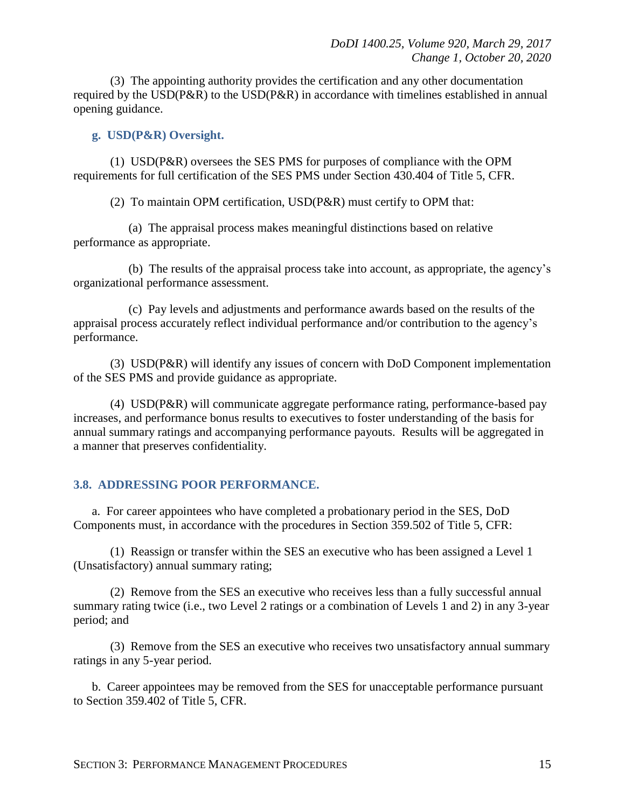(3) The appointing authority provides the certification and any other documentation required by the USD(P&R) to the USD(P&R) in accordance with timelines established in annual opening guidance.

#### **g. USD(P&R) Oversight.**

(1) USD(P&R) oversees the SES PMS for purposes of compliance with the OPM requirements for full certification of the SES PMS under Section 430.404 of Title 5, CFR.

(2) To maintain OPM certification, USD(P&R) must certify to OPM that:

(a) The appraisal process makes meaningful distinctions based on relative performance as appropriate.

(b) The results of the appraisal process take into account, as appropriate, the agency's organizational performance assessment.

(c) Pay levels and adjustments and performance awards based on the results of the appraisal process accurately reflect individual performance and/or contribution to the agency's performance.

(3) USD(P&R) will identify any issues of concern with DoD Component implementation of the SES PMS and provide guidance as appropriate.

(4) USD(P&R) will communicate aggregate performance rating, performance-based pay increases, and performance bonus results to executives to foster understanding of the basis for annual summary ratings and accompanying performance payouts. Results will be aggregated in a manner that preserves confidentiality.

#### <span id="page-14-0"></span>**3.8. ADDRESSING POOR PERFORMANCE.**

a. For career appointees who have completed a probationary period in the SES, DoD Components must, in accordance with the procedures in Section 359.502 of Title 5, CFR:

(1) Reassign or transfer within the SES an executive who has been assigned a Level 1 (Unsatisfactory) annual summary rating;

(2) Remove from the SES an executive who receives less than a fully successful annual summary rating twice (i.e., two Level 2 ratings or a combination of Levels 1 and 2) in any 3-year period; and

(3) Remove from the SES an executive who receives two unsatisfactory annual summary ratings in any 5-year period.

b. Career appointees may be removed from the SES for unacceptable performance pursuant to Section 359.402 of Title 5, CFR.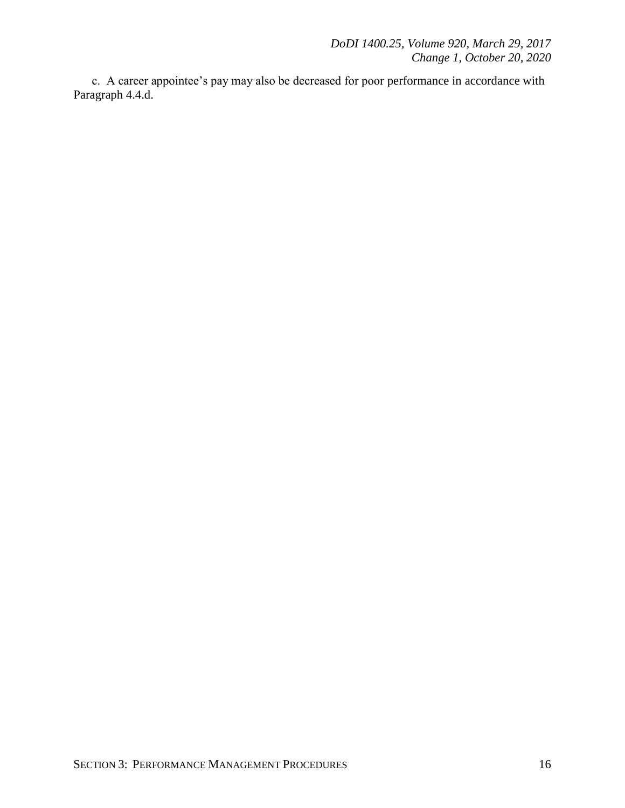c. A career appointee's pay may also be decreased for poor performance in accordance with Paragraph 4.4.d.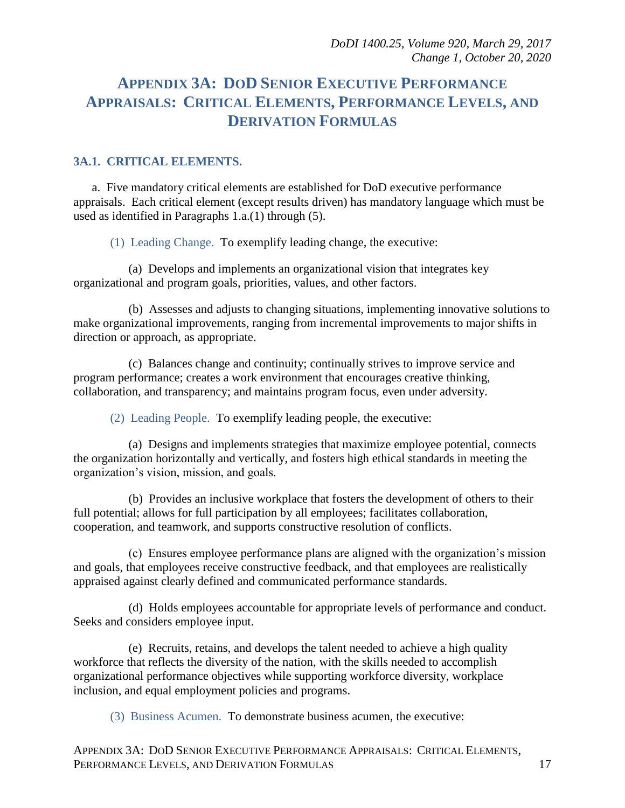## <span id="page-16-0"></span>**APPENDIX 3A: DOD SENIOR EXECUTIVE PERFORMANCE APPRAISALS: CRITICAL ELEMENTS, PERFORMANCE LEVELS, AND DERIVATION FORMULAS**

#### <span id="page-16-1"></span>**3A.1. CRITICAL ELEMENTS.**

a. Five mandatory critical elements are established for DoD executive performance appraisals. Each critical element (except results driven) has mandatory language which must be used as identified in Paragraphs 1.a.(1) through (5).

(1) Leading Change. To exemplify leading change, the executive:

(a) Develops and implements an organizational vision that integrates key organizational and program goals, priorities, values, and other factors.

(b) Assesses and adjusts to changing situations, implementing innovative solutions to make organizational improvements, ranging from incremental improvements to major shifts in direction or approach, as appropriate.

(c) Balances change and continuity; continually strives to improve service and program performance; creates a work environment that encourages creative thinking, collaboration, and transparency; and maintains program focus, even under adversity.

(2) Leading People. To exemplify leading people, the executive:

(a) Designs and implements strategies that maximize employee potential, connects the organization horizontally and vertically, and fosters high ethical standards in meeting the organization's vision, mission, and goals.

(b) Provides an inclusive workplace that fosters the development of others to their full potential; allows for full participation by all employees; facilitates collaboration, cooperation, and teamwork, and supports constructive resolution of conflicts.

(c) Ensures employee performance plans are aligned with the organization's mission and goals, that employees receive constructive feedback, and that employees are realistically appraised against clearly defined and communicated performance standards.

(d) Holds employees accountable for appropriate levels of performance and conduct. Seeks and considers employee input.

(e) Recruits, retains, and develops the talent needed to achieve a high quality workforce that reflects the diversity of the nation, with the skills needed to accomplish organizational performance objectives while supporting workforce diversity, workplace inclusion, and equal employment policies and programs.

(3) Business Acumen. To demonstrate business acumen, the executive: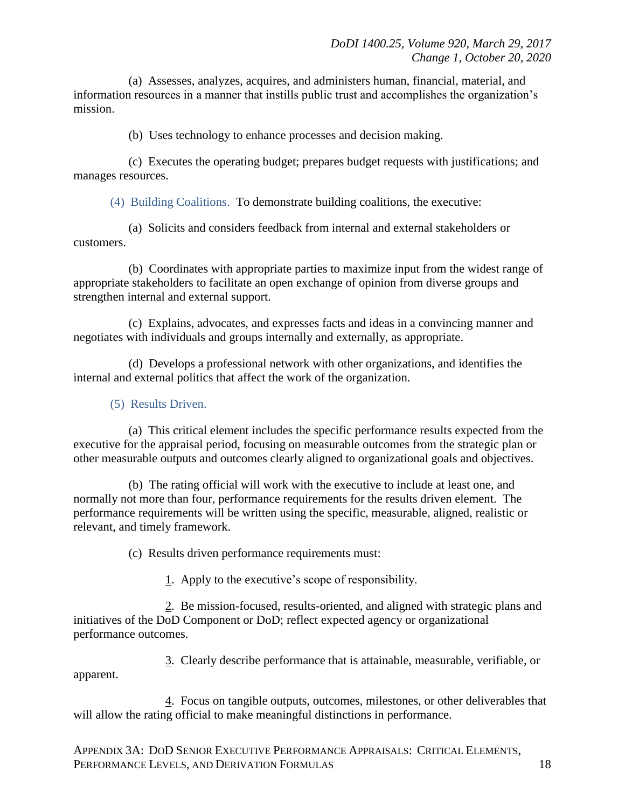(a) Assesses, analyzes, acquires, and administers human, financial, material, and information resources in a manner that instills public trust and accomplishes the organization's mission.

(b) Uses technology to enhance processes and decision making.

(c) Executes the operating budget; prepares budget requests with justifications; and manages resources.

(4) Building Coalitions. To demonstrate building coalitions, the executive:

(a) Solicits and considers feedback from internal and external stakeholders or customers.

(b) Coordinates with appropriate parties to maximize input from the widest range of appropriate stakeholders to facilitate an open exchange of opinion from diverse groups and strengthen internal and external support.

(c) Explains, advocates, and expresses facts and ideas in a convincing manner and negotiates with individuals and groups internally and externally, as appropriate.

(d) Develops a professional network with other organizations, and identifies the internal and external politics that affect the work of the organization.

#### (5) Results Driven.

(a) This critical element includes the specific performance results expected from the executive for the appraisal period, focusing on measurable outcomes from the strategic plan or other measurable outputs and outcomes clearly aligned to organizational goals and objectives.

(b) The rating official will work with the executive to include at least one, and normally not more than four, performance requirements for the results driven element. The performance requirements will be written using the specific, measurable, aligned, realistic or relevant, and timely framework.

(c) Results driven performance requirements must:

1. Apply to the executive's scope of responsibility.

2. Be mission-focused, results-oriented, and aligned with strategic plans and initiatives of the DoD Component or DoD; reflect expected agency or organizational performance outcomes.

3. Clearly describe performance that is attainable, measurable, verifiable, or apparent.

4. Focus on tangible outputs, outcomes, milestones, or other deliverables that will allow the rating official to make meaningful distinctions in performance.

APPENDIX 3A: DOD SENIOR EXECUTIVE PERFORMANCE APPRAISALS: CRITICAL ELEMENTS, PERFORMANCE LEVELS, AND DERIVATION FORMULAS 18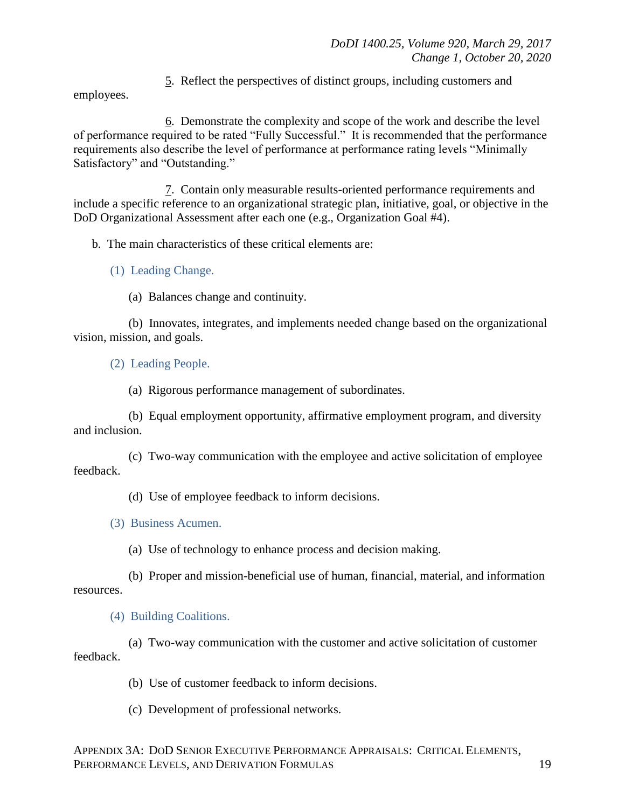5. Reflect the perspectives of distinct groups, including customers and

employees.

6. Demonstrate the complexity and scope of the work and describe the level of performance required to be rated "Fully Successful." It is recommended that the performance requirements also describe the level of performance at performance rating levels "Minimally Satisfactory" and "Outstanding."

7. Contain only measurable results-oriented performance requirements and include a specific reference to an organizational strategic plan, initiative, goal, or objective in the DoD Organizational Assessment after each one (e.g., Organization Goal #4).

b. The main characteristics of these critical elements are:

(1) Leading Change.

(a) Balances change and continuity.

(b) Innovates, integrates, and implements needed change based on the organizational vision, mission, and goals.

(2) Leading People.

(a) Rigorous performance management of subordinates.

(b) Equal employment opportunity, affirmative employment program, and diversity and inclusion.

(c) Two-way communication with the employee and active solicitation of employee feedback.

(d) Use of employee feedback to inform decisions.

(3) Business Acumen.

(a) Use of technology to enhance process and decision making.

(b) Proper and mission-beneficial use of human, financial, material, and information resources.

(4) Building Coalitions.

(a) Two-way communication with the customer and active solicitation of customer feedback.

(b) Use of customer feedback to inform decisions.

(c) Development of professional networks.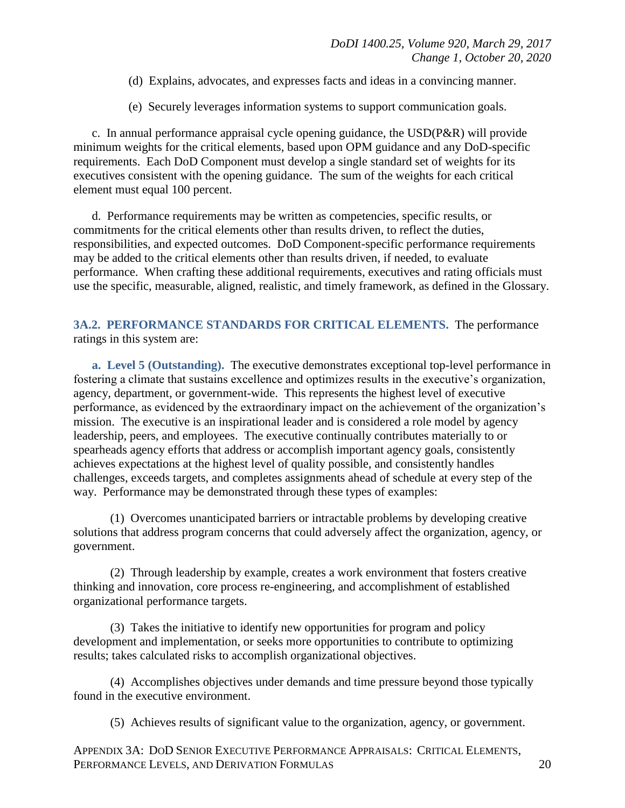- (d) Explains, advocates, and expresses facts and ideas in a convincing manner.
- (e) Securely leverages information systems to support communication goals.

c. In annual performance appraisal cycle opening guidance, the USD(P&R) will provide minimum weights for the critical elements, based upon OPM guidance and any DoD-specific requirements. Each DoD Component must develop a single standard set of weights for its executives consistent with the opening guidance. The sum of the weights for each critical element must equal 100 percent.

d. Performance requirements may be written as competencies, specific results, or commitments for the critical elements other than results driven, to reflect the duties, responsibilities, and expected outcomes. DoD Component-specific performance requirements may be added to the critical elements other than results driven, if needed, to evaluate performance. When crafting these additional requirements, executives and rating officials must use the specific, measurable, aligned, realistic, and timely framework, as defined in the Glossary.

#### <span id="page-19-0"></span>**3A.2. PERFORMANCE STANDARDS FOR CRITICAL ELEMENTS.** The performance ratings in this system are:

**a. Level 5 (Outstanding).** The executive demonstrates exceptional top-level performance in fostering a climate that sustains excellence and optimizes results in the executive's organization, agency, department, or government-wide. This represents the highest level of executive performance, as evidenced by the extraordinary impact on the achievement of the organization's mission. The executive is an inspirational leader and is considered a role model by agency leadership, peers, and employees. The executive continually contributes materially to or spearheads agency efforts that address or accomplish important agency goals, consistently achieves expectations at the highest level of quality possible, and consistently handles challenges, exceeds targets, and completes assignments ahead of schedule at every step of the way. Performance may be demonstrated through these types of examples:

(1) Overcomes unanticipated barriers or intractable problems by developing creative solutions that address program concerns that could adversely affect the organization, agency, or government.

(2) Through leadership by example, creates a work environment that fosters creative thinking and innovation, core process re-engineering, and accomplishment of established organizational performance targets.

(3) Takes the initiative to identify new opportunities for program and policy development and implementation, or seeks more opportunities to contribute to optimizing results; takes calculated risks to accomplish organizational objectives.

(4) Accomplishes objectives under demands and time pressure beyond those typically found in the executive environment.

(5) Achieves results of significant value to the organization, agency, or government.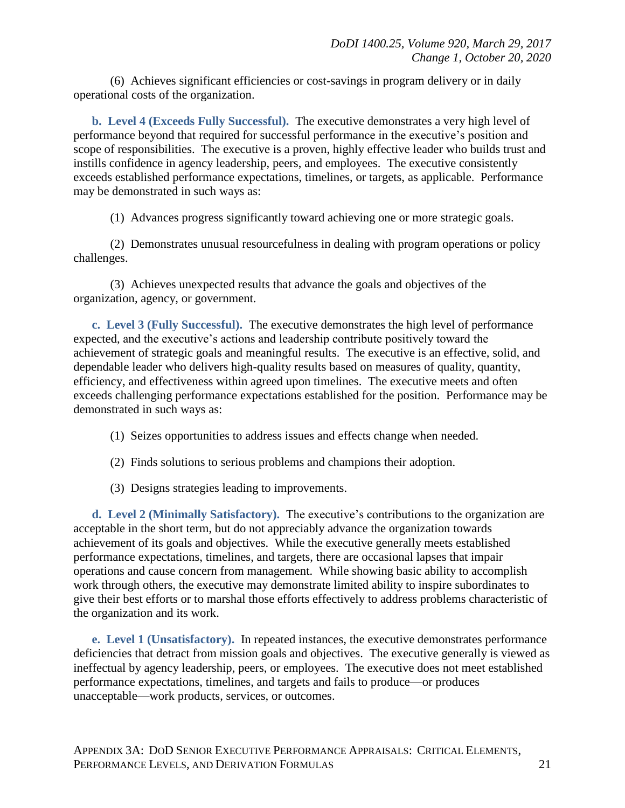(6) Achieves significant efficiencies or cost-savings in program delivery or in daily operational costs of the organization.

**b. Level 4 (Exceeds Fully Successful).** The executive demonstrates a very high level of performance beyond that required for successful performance in the executive's position and scope of responsibilities. The executive is a proven, highly effective leader who builds trust and instills confidence in agency leadership, peers, and employees. The executive consistently exceeds established performance expectations, timelines, or targets, as applicable. Performance may be demonstrated in such ways as:

(1) Advances progress significantly toward achieving one or more strategic goals.

(2) Demonstrates unusual resourcefulness in dealing with program operations or policy challenges.

(3) Achieves unexpected results that advance the goals and objectives of the organization, agency, or government.

**c. Level 3 (Fully Successful).** The executive demonstrates the high level of performance expected, and the executive's actions and leadership contribute positively toward the achievement of strategic goals and meaningful results. The executive is an effective, solid, and dependable leader who delivers high-quality results based on measures of quality, quantity, efficiency, and effectiveness within agreed upon timelines. The executive meets and often exceeds challenging performance expectations established for the position. Performance may be demonstrated in such ways as:

- (1) Seizes opportunities to address issues and effects change when needed.
- (2) Finds solutions to serious problems and champions their adoption.
- (3) Designs strategies leading to improvements.

**d. Level 2 (Minimally Satisfactory).** The executive's contributions to the organization are acceptable in the short term, but do not appreciably advance the organization towards achievement of its goals and objectives. While the executive generally meets established performance expectations, timelines, and targets, there are occasional lapses that impair operations and cause concern from management. While showing basic ability to accomplish work through others, the executive may demonstrate limited ability to inspire subordinates to give their best efforts or to marshal those efforts effectively to address problems characteristic of the organization and its work.

**e. Level 1 (Unsatisfactory).** In repeated instances, the executive demonstrates performance deficiencies that detract from mission goals and objectives. The executive generally is viewed as ineffectual by agency leadership, peers, or employees. The executive does not meet established performance expectations, timelines, and targets and fails to produce—or produces unacceptable—work products, services, or outcomes.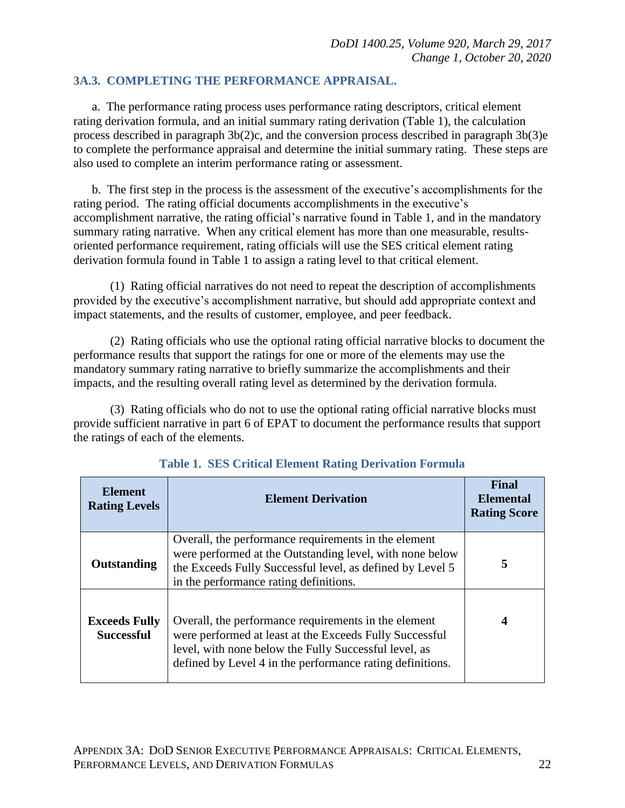#### <span id="page-21-0"></span>**3A.3. COMPLETING THE PERFORMANCE APPRAISAL.**

a. The performance rating process uses performance rating descriptors, critical element rating derivation formula, and an initial summary rating derivation (Table 1), the calculation process described in paragraph 3b(2)c, and the conversion process described in paragraph 3b(3)e to complete the performance appraisal and determine the initial summary rating. These steps are also used to complete an interim performance rating or assessment.

b. The first step in the process is the assessment of the executive's accomplishments for the rating period. The rating official documents accomplishments in the executive's accomplishment narrative, the rating official's narrative found in Table 1, and in the mandatory summary rating narrative. When any critical element has more than one measurable, resultsoriented performance requirement, rating officials will use the SES critical element rating derivation formula found in Table 1 to assign a rating level to that critical element.

(1) Rating official narratives do not need to repeat the description of accomplishments provided by the executive's accomplishment narrative, but should add appropriate context and impact statements, and the results of customer, employee, and peer feedback.

(2) Rating officials who use the optional rating official narrative blocks to document the performance results that support the ratings for one or more of the elements may use the mandatory summary rating narrative to briefly summarize the accomplishments and their impacts, and the resulting overall rating level as determined by the derivation formula.

(3) Rating officials who do not to use the optional rating official narrative blocks must provide sufficient narrative in part 6 of EPAT to document the performance results that support the ratings of each of the elements.

| <b>Element</b><br><b>Rating Levels</b>    | <b>Element Derivation</b>                                                                                                                                                                                                             | Final<br><b>Elemental</b><br><b>Rating Score</b> |
|-------------------------------------------|---------------------------------------------------------------------------------------------------------------------------------------------------------------------------------------------------------------------------------------|--------------------------------------------------|
| Outstanding                               | Overall, the performance requirements in the element<br>were performed at the Outstanding level, with none below<br>the Exceeds Fully Successful level, as defined by Level 5<br>in the performance rating definitions.               | 5                                                |
| <b>Exceeds Fully</b><br><b>Successful</b> | Overall, the performance requirements in the element<br>were performed at least at the Exceeds Fully Successful<br>level, with none below the Fully Successful level, as<br>defined by Level 4 in the performance rating definitions. | 4                                                |

**Table 1. SES Critical Element Rating Derivation Formula**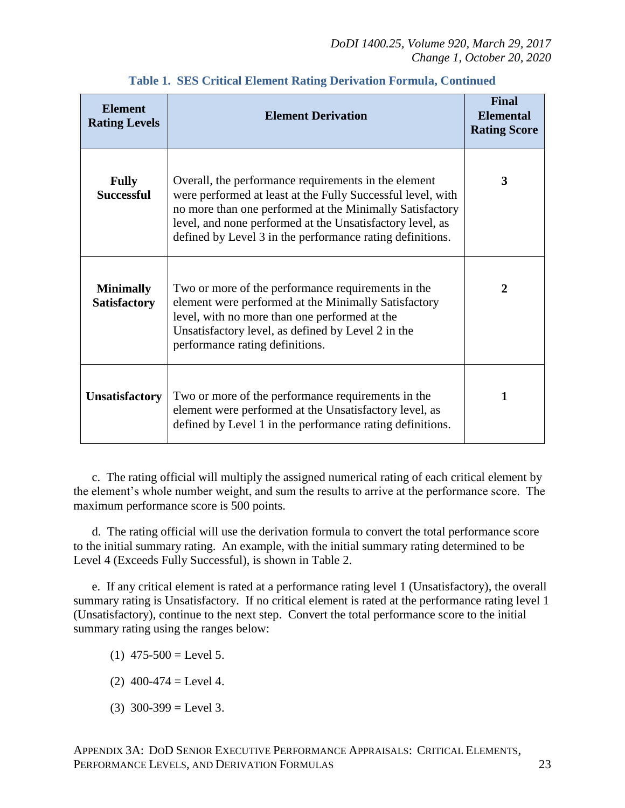| <b>Element</b><br><b>Rating Levels</b>  | <b>Element Derivation</b>                                                                                                                                                                                                                                                                                 | <b>Final</b><br><b>Elemental</b><br><b>Rating Score</b> |
|-----------------------------------------|-----------------------------------------------------------------------------------------------------------------------------------------------------------------------------------------------------------------------------------------------------------------------------------------------------------|---------------------------------------------------------|
| <b>Fully</b><br><b>Successful</b>       | Overall, the performance requirements in the element<br>were performed at least at the Fully Successful level, with<br>no more than one performed at the Minimally Satisfactory<br>level, and none performed at the Unsatisfactory level, as<br>defined by Level 3 in the performance rating definitions. | 3                                                       |
| <b>Minimally</b><br><b>Satisfactory</b> | Two or more of the performance requirements in the<br>element were performed at the Minimally Satisfactory<br>level, with no more than one performed at the<br>Unsatisfactory level, as defined by Level 2 in the<br>performance rating definitions.                                                      | $\overline{2}$                                          |
| <b>Unsatisfactory</b>                   | Two or more of the performance requirements in the<br>element were performed at the Unsatisfactory level, as<br>defined by Level 1 in the performance rating definitions.                                                                                                                                 | 1                                                       |

**Table 1. SES Critical Element Rating Derivation Formula, Continued**

c. The rating official will multiply the assigned numerical rating of each critical element by the element's whole number weight, and sum the results to arrive at the performance score. The maximum performance score is 500 points.

d. The rating official will use the derivation formula to convert the total performance score to the initial summary rating. An example, with the initial summary rating determined to be Level 4 (Exceeds Fully Successful), is shown in Table 2.

e. If any critical element is rated at a performance rating level 1 (Unsatisfactory), the overall summary rating is Unsatisfactory. If no critical element is rated at the performance rating level 1 (Unsatisfactory), continue to the next step. Convert the total performance score to the initial summary rating using the ranges below:

- $(1)$  475-500 = Level 5.
- $(2)$  400-474 = Level 4.
- $(3)$  300-399 = Level 3.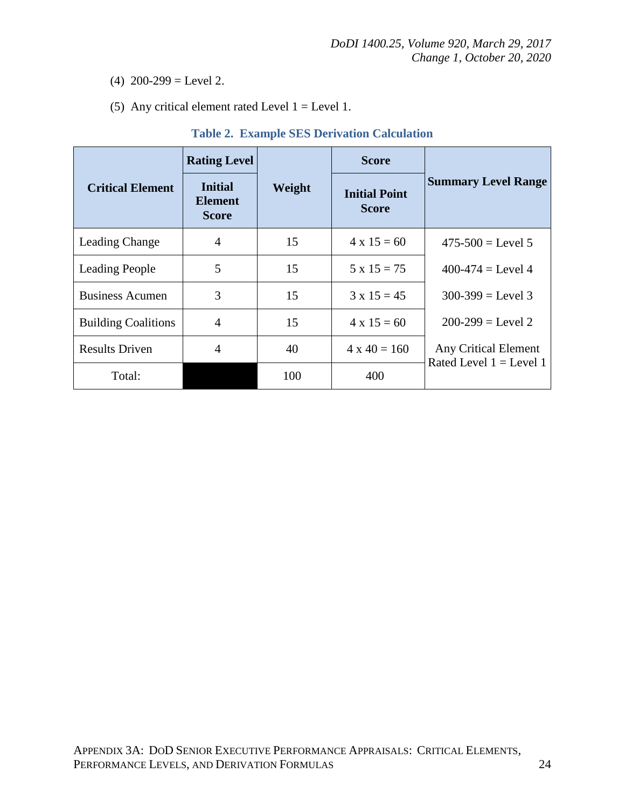- (4)  $200-299$  = Level 2.
- (5) Any critical element rated Level  $1 = \text{Level } 1$ .

|                            | <b>Rating Level</b>                              |        | <b>Score</b>                         |                                                   |
|----------------------------|--------------------------------------------------|--------|--------------------------------------|---------------------------------------------------|
| <b>Critical Element</b>    | <b>Initial</b><br><b>Element</b><br><b>Score</b> | Weight | <b>Initial Point</b><br><b>Score</b> | <b>Summary Level Range</b>                        |
| Leading Change             | 4                                                | 15     | $4 \times 15 = 60$                   | $475-500 = \text{Level } 5$                       |
| <b>Leading People</b>      | 5                                                | 15     | $5 \times 15 = 75$                   | $400-474 = \text{Level } 4$                       |
| <b>Business Acumen</b>     | 3                                                | 15     | $3 \times 15 = 45$                   | $300-399$ = Level 3                               |
| <b>Building Coalitions</b> | 4                                                | 15     | $4 \times 15 = 60$                   | $200-299 = Level 2$                               |
| <b>Results Driven</b>      | 4                                                | 40     | $4 \times 40 = 160$                  | Any Critical Element<br>Rated Level $1 =$ Level 1 |
| Total:                     |                                                  | 100    | 400                                  |                                                   |

#### **Table 2. Example SES Derivation Calculation**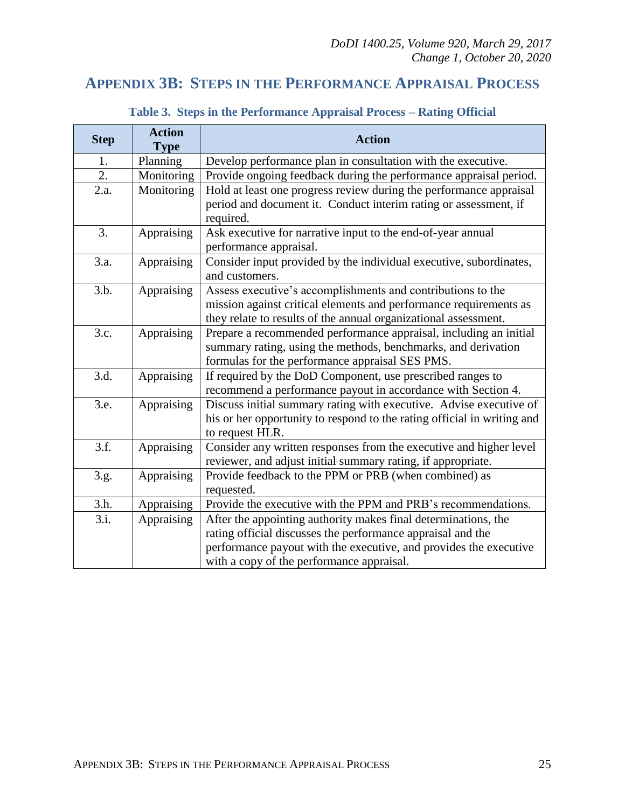## <span id="page-24-0"></span>**APPENDIX 3B: STEPS IN THE PERFORMANCE APPRAISAL PROCESS**

| <b>Step</b> | <b>Action</b><br><b>Type</b> | <b>Action</b>                                                                                                                                                                                                                                   |  |  |
|-------------|------------------------------|-------------------------------------------------------------------------------------------------------------------------------------------------------------------------------------------------------------------------------------------------|--|--|
| 1.          | Planning                     | Develop performance plan in consultation with the executive.                                                                                                                                                                                    |  |  |
| 2.          | Monitoring                   | Provide ongoing feedback during the performance appraisal period.                                                                                                                                                                               |  |  |
| 2.a.        | Monitoring                   | Hold at least one progress review during the performance appraisal<br>period and document it. Conduct interim rating or assessment, if<br>required.                                                                                             |  |  |
| 3.          | Appraising                   | Ask executive for narrative input to the end-of-year annual<br>performance appraisal.                                                                                                                                                           |  |  |
| 3.a.        | Appraising                   | Consider input provided by the individual executive, subordinates,<br>and customers.                                                                                                                                                            |  |  |
| 3.b.        | Appraising                   | Assess executive's accomplishments and contributions to the<br>mission against critical elements and performance requirements as<br>they relate to results of the annual organizational assessment.                                             |  |  |
| 3.c.        | Appraising                   | Prepare a recommended performance appraisal, including an initial<br>summary rating, using the methods, benchmarks, and derivation<br>formulas for the performance appraisal SES PMS.                                                           |  |  |
| 3.d.        | Appraising                   | If required by the DoD Component, use prescribed ranges to<br>recommend a performance payout in accordance with Section 4.                                                                                                                      |  |  |
| 3.e.        | Appraising                   | Discuss initial summary rating with executive. Advise executive of<br>his or her opportunity to respond to the rating official in writing and<br>to request HLR.                                                                                |  |  |
| 3.f.        | Appraising                   | Consider any written responses from the executive and higher level<br>reviewer, and adjust initial summary rating, if appropriate.                                                                                                              |  |  |
| 3.g.        | Appraising                   | Provide feedback to the PPM or PRB (when combined) as<br>requested.                                                                                                                                                                             |  |  |
| 3.h.        | Appraising                   | Provide the executive with the PPM and PRB's recommendations.                                                                                                                                                                                   |  |  |
| 3.i.        | Appraising                   | After the appointing authority makes final determinations, the<br>rating official discusses the performance appraisal and the<br>performance payout with the executive, and provides the executive<br>with a copy of the performance appraisal. |  |  |

## **Table 3. Steps in the Performance Appraisal Process – Rating Official**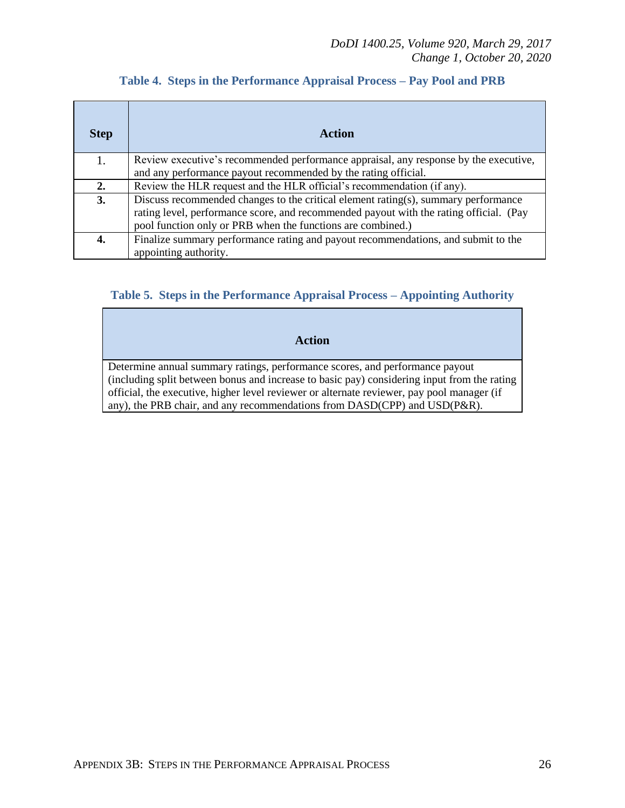| <b>Step</b> | <b>Action</b>                                                                          |
|-------------|----------------------------------------------------------------------------------------|
| 1.          | Review executive's recommended performance appraisal, any response by the executive,   |
|             | and any performance payout recommended by the rating official.                         |
| 2.          | Review the HLR request and the HLR official's recommendation (if any).                 |
| 3.          | Discuss recommended changes to the critical element rating(s), summary performance     |
|             | rating level, performance score, and recommended payout with the rating official. (Pay |
|             | pool function only or PRB when the functions are combined.)                            |
| 4.          | Finalize summary performance rating and payout recommendations, and submit to the      |
|             | appointing authority.                                                                  |

#### **Table 4. Steps in the Performance Appraisal Process – Pay Pool and PRB**

#### **Table 5. Steps in the Performance Appraisal Process – Appointing Authority**

**Action**

Determine annual summary ratings, performance scores, and performance payout (including split between bonus and increase to basic pay) considering input from the rating official, the executive, higher level reviewer or alternate reviewer, pay pool manager (if any), the PRB chair, and any recommendations from DASD(CPP) and USD(P&R).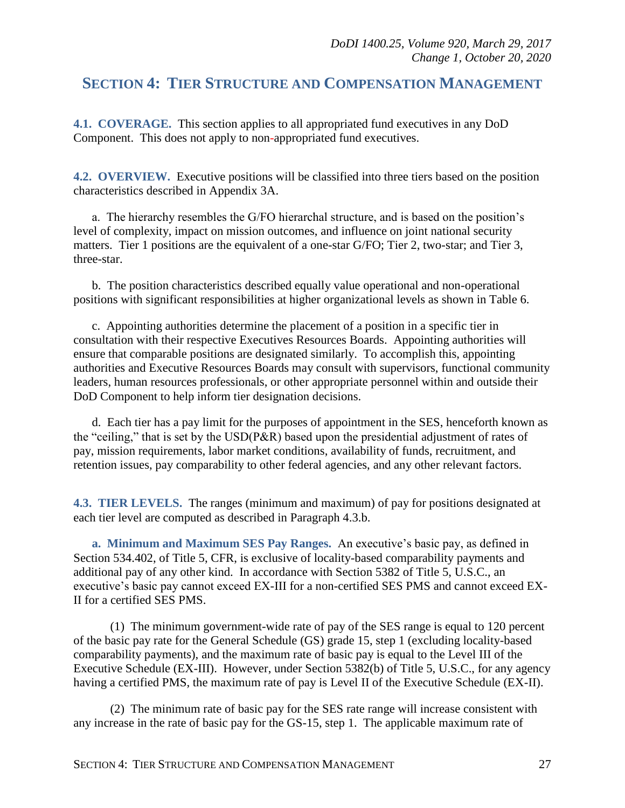## <span id="page-26-0"></span>**SECTION 4: TIER STRUCTURE AND COMPENSATION MANAGEMENT**

<span id="page-26-1"></span>**4.1. COVERAGE.** This section applies to all appropriated fund executives in any DoD Component. This does not apply to non*-*appropriated fund executives.

<span id="page-26-2"></span>**4.2. OVERVIEW.** Executive positions will be classified into three tiers based on the position characteristics described in Appendix 3A.

a. The hierarchy resembles the G/FO hierarchal structure, and is based on the position's level of complexity, impact on mission outcomes, and influence on joint national security matters. Tier 1 positions are the equivalent of a one-star G/FO; Tier 2, two-star; and Tier 3, three-star.

b. The position characteristics described equally value operational and non-operational positions with significant responsibilities at higher organizational levels as shown in Table 6.

c. Appointing authorities determine the placement of a position in a specific tier in consultation with their respective Executives Resources Boards. Appointing authorities will ensure that comparable positions are designated similarly. To accomplish this, appointing authorities and Executive Resources Boards may consult with supervisors, functional community leaders, human resources professionals, or other appropriate personnel within and outside their DoD Component to help inform tier designation decisions.

d. Each tier has a pay limit for the purposes of appointment in the SES, henceforth known as the "ceiling," that is set by the USD(P&R) based upon the presidential adjustment of rates of pay, mission requirements, labor market conditions, availability of funds, recruitment, and retention issues, pay comparability to other federal agencies, and any other relevant factors.

<span id="page-26-3"></span>**4.3. TIER LEVELS.** The ranges (minimum and maximum) of pay for positions designated at each tier level are computed as described in Paragraph 4.3.b.

<span id="page-26-4"></span>**a. Minimum and Maximum SES Pay Ranges.** An executive's basic pay, as defined in Section 534.402, of Title 5, CFR, is exclusive of locality-based comparability payments and additional pay of any other kind. In accordance with Section 5382 of Title 5, U.S.C., an executive's basic pay cannot exceed EX-III for a non-certified SES PMS and cannot exceed EX-II for a certified SES PMS.

(1) The minimum government-wide rate of pay of the SES range is equal to 120 percent of the basic pay rate for the General Schedule (GS) grade 15, step 1 (excluding locality-based comparability payments), and the maximum rate of basic pay is equal to the Level III of the Executive Schedule (EX-III). However, under Section 5382(b) of Title 5, U.S.C., for any agency having a certified PMS, the maximum rate of pay is Level II of the Executive Schedule (EX-II).

(2) The minimum rate of basic pay for the SES rate range will increase consistent with any increase in the rate of basic pay for the GS-15, step 1. The applicable maximum rate of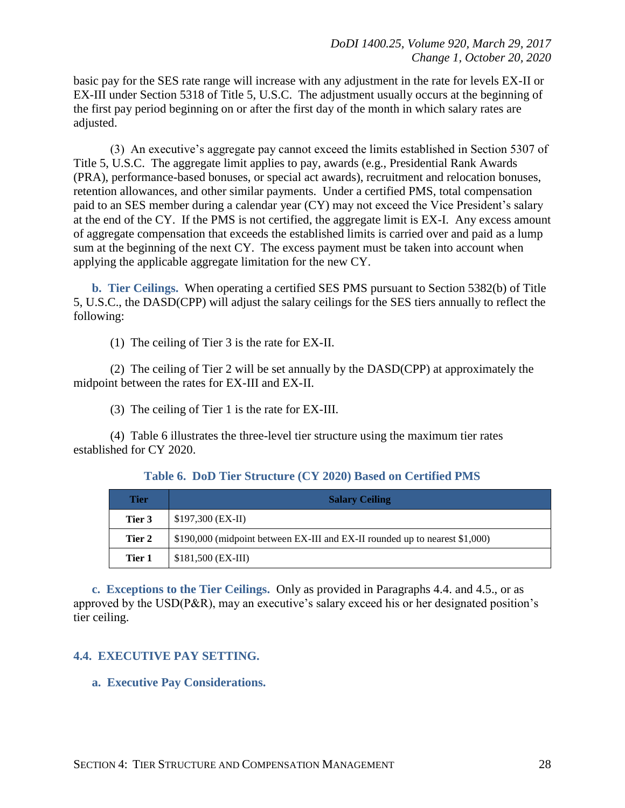basic pay for the SES rate range will increase with any adjustment in the rate for levels EX-II or EX-III under Section 5318 of Title 5, U.S.C. The adjustment usually occurs at the beginning of the first pay period beginning on or after the first day of the month in which salary rates are adjusted.

(3) An executive's aggregate pay cannot exceed the limits established in Section 5307 of Title 5, U.S.C. The aggregate limit applies to pay, awards (e.g., Presidential Rank Awards (PRA), performance-based bonuses, or special act awards), recruitment and relocation bonuses, retention allowances, and other similar payments. Under a certified PMS, total compensation paid to an SES member during a calendar year (CY) may not exceed the Vice President's salary at the end of the CY. If the PMS is not certified, the aggregate limit is EX-I. Any excess amount of aggregate compensation that exceeds the established limits is carried over and paid as a lump sum at the beginning of the next CY. The excess payment must be taken into account when applying the applicable aggregate limitation for the new CY.

<span id="page-27-0"></span>**b. Tier Ceilings.** When operating a certified SES PMS pursuant to Section 5382(b) of Title 5, U.S.C., the DASD(CPP) will adjust the salary ceilings for the SES tiers annually to reflect the following:

(1) The ceiling of Tier 3 is the rate for EX-II.

(2) The ceiling of Tier 2 will be set annually by the DASD(CPP) at approximately the midpoint between the rates for EX-III and EX-II.

(3) The ceiling of Tier 1 is the rate for EX-III.

(4) Table 6 illustrates the three-level tier structure using the maximum tier rates established for CY 2020.

|  |  | Table 6. DoD Tier Structure (CY 2020) Based on Certified PMS |  |  |  |  |  |  |
|--|--|--------------------------------------------------------------|--|--|--|--|--|--|
|--|--|--------------------------------------------------------------|--|--|--|--|--|--|

| Tier   | <b>Salary Ceiling</b>                                                       |
|--------|-----------------------------------------------------------------------------|
| Tier 3 | $$197,300$ (EX-II)                                                          |
| Tier 2 | \$190,000 (midpoint between EX-III and EX-II rounded up to nearest \$1,000) |
| Tier 1 | $$181,500$ (EX-III)                                                         |

<span id="page-27-1"></span>**c. Exceptions to the Tier Ceilings.** Only as provided in Paragraphs 4.4. and 4.5., or as approved by the USD(P&R), may an executive's salary exceed his or her designated position's tier ceiling.

#### <span id="page-27-2"></span>**4.4. EXECUTIVE PAY SETTING.**

#### <span id="page-27-3"></span>**a. Executive Pay Considerations.**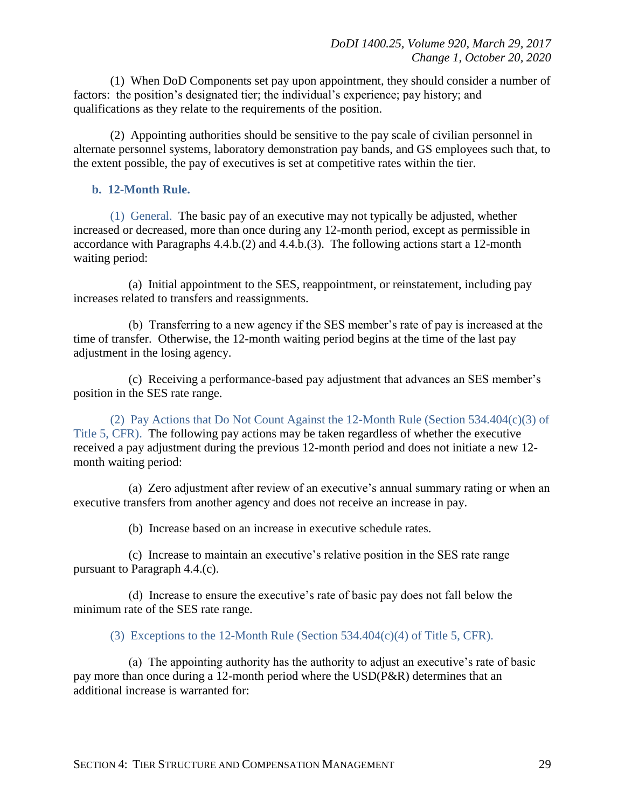(1) When DoD Components set pay upon appointment, they should consider a number of factors: the position's designated tier; the individual's experience; pay history; and qualifications as they relate to the requirements of the position.

(2) Appointing authorities should be sensitive to the pay scale of civilian personnel in alternate personnel systems, laboratory demonstration pay bands, and GS employees such that, to the extent possible, the pay of executives is set at competitive rates within the tier.

#### <span id="page-28-0"></span>**b. 12-Month Rule.**

(1) General. The basic pay of an executive may not typically be adjusted, whether increased or decreased, more than once during any 12-month period, except as permissible in accordance with Paragraphs 4.4.b.(2) and 4.4.b.(3). The following actions start a 12-month waiting period:

(a) Initial appointment to the SES, reappointment, or reinstatement, including pay increases related to transfers and reassignments.

(b) Transferring to a new agency if the SES member's rate of pay is increased at the time of transfer. Otherwise, the 12-month waiting period begins at the time of the last pay adjustment in the losing agency.

(c) Receiving a performance-based pay adjustment that advances an SES member's position in the SES rate range.

(2) Pay Actions that Do Not Count Against the 12-Month Rule (Section 534.404(c)(3) of Title 5, CFR). The following pay actions may be taken regardless of whether the executive received a pay adjustment during the previous 12-month period and does not initiate a new 12 month waiting period:

(a) Zero adjustment after review of an executive's annual summary rating or when an executive transfers from another agency and does not receive an increase in pay.

(b) Increase based on an increase in executive schedule rates.

(c) Increase to maintain an executive's relative position in the SES rate range pursuant to Paragraph 4.4.(c).

(d) Increase to ensure the executive's rate of basic pay does not fall below the minimum rate of the SES rate range.

(3) Exceptions to the 12-Month Rule (Section 534.404 $(c)(4)$  of Title 5, CFR).

(a) The appointing authority has the authority to adjust an executive's rate of basic pay more than once during a 12-month period where the USD(P&R) determines that an additional increase is warranted for: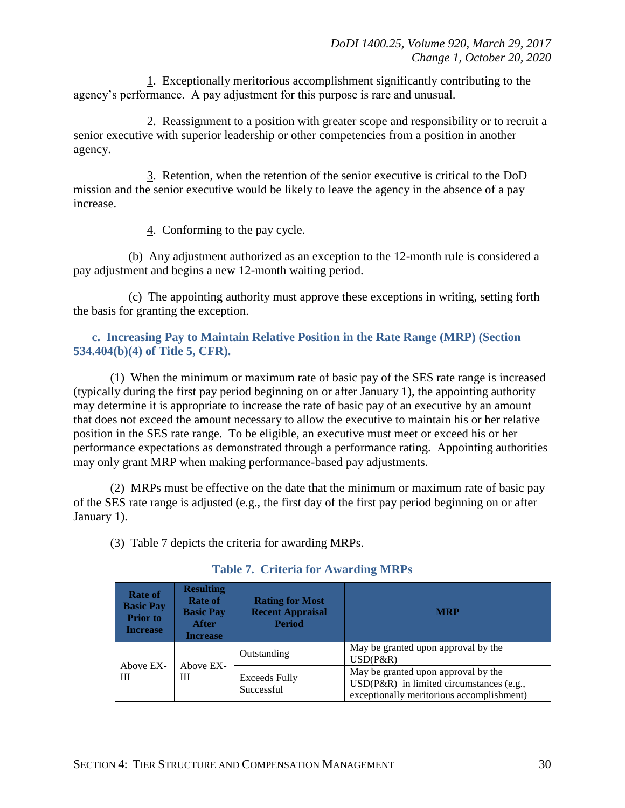1. Exceptionally meritorious accomplishment significantly contributing to the agency's performance. A pay adjustment for this purpose is rare and unusual.

2. Reassignment to a position with greater scope and responsibility or to recruit a senior executive with superior leadership or other competencies from a position in another agency.

3. Retention, when the retention of the senior executive is critical to the DoD mission and the senior executive would be likely to leave the agency in the absence of a pay increase.

4. Conforming to the pay cycle.

(b) Any adjustment authorized as an exception to the 12-month rule is considered a pay adjustment and begins a new 12-month waiting period.

(c) The appointing authority must approve these exceptions in writing, setting forth the basis for granting the exception.

#### <span id="page-29-0"></span>**c. Increasing Pay to Maintain Relative Position in the Rate Range (MRP) (Section 534.404(b)(4) of Title 5, CFR).**

(1) When the minimum or maximum rate of basic pay of the SES rate range is increased (typically during the first pay period beginning on or after January 1), the appointing authority may determine it is appropriate to increase the rate of basic pay of an executive by an amount that does not exceed the amount necessary to allow the executive to maintain his or her relative position in the SES rate range. To be eligible, an executive must meet or exceed his or her performance expectations as demonstrated through a performance rating. Appointing authorities may only grant MRP when making performance-based pay adjustments.

(2) MRPs must be effective on the date that the minimum or maximum rate of basic pay of the SES rate range is adjusted (e.g., the first day of the first pay period beginning on or after January 1).

(3) Table 7 depicts the criteria for awarding MRPs.

| Rate of<br><b>Basic Pay</b><br><b>Prior</b> to<br><b>Increase</b> | <b>Resulting</b><br>Rate of<br><b>Basic Pay</b><br><b>After</b><br><b>Increase</b> | <b>Rating for Most</b><br><b>Recent Appraisal</b><br><b>Period</b> | <b>MRP</b>                                                                                                                   |
|-------------------------------------------------------------------|------------------------------------------------------------------------------------|--------------------------------------------------------------------|------------------------------------------------------------------------------------------------------------------------------|
| Above EX-<br>Ш                                                    | Above EX-<br>Ш                                                                     | Outstanding                                                        | May be granted upon approval by the<br>$USD(P\&R)$                                                                           |
|                                                                   |                                                                                    | Exceeds Fully<br>Successful                                        | May be granted upon approval by the<br>USD(P&R) in limited circumstances (e.g.,<br>exceptionally meritorious accomplishment) |

#### **Table 7. Criteria for Awarding MRPs**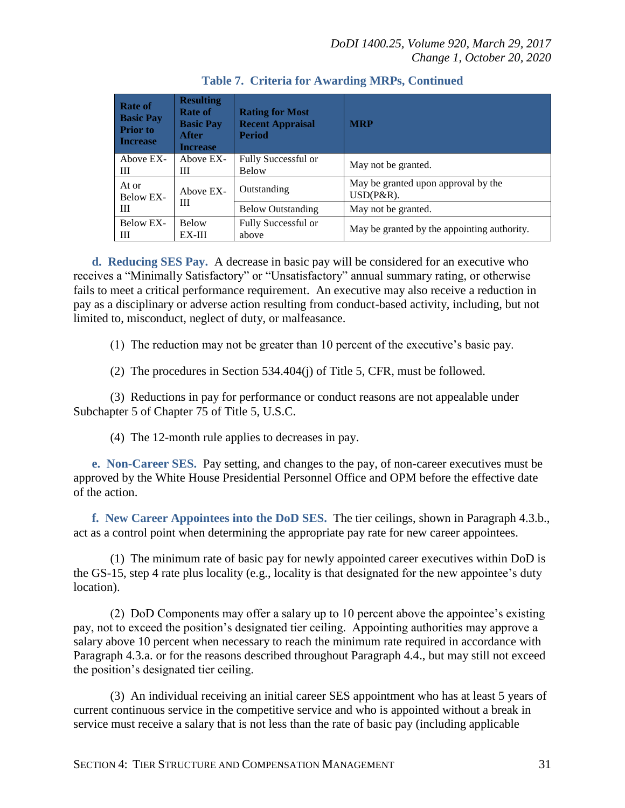| Rate of<br><b>Basic Pay</b><br><b>Prior</b> to<br><b>Increase</b> | <b>Resulting</b><br>Rate of<br><b>Basic Pay</b><br>After<br><b>Increase</b> | <b>Rating for Most</b><br><b>Recent Appraisal</b><br><b>Period</b> | <b>MRP</b>                                           |
|-------------------------------------------------------------------|-----------------------------------------------------------------------------|--------------------------------------------------------------------|------------------------------------------------------|
| Above EX-<br>Ш                                                    | Above EX-<br>Ш                                                              | Fully Successful or<br><b>Below</b>                                | May not be granted.                                  |
| At or<br>Below EX-<br>Ш                                           | Above EX-<br>Ш                                                              | Outstanding                                                        | May be granted upon approval by the<br>$USD(P\&R)$ . |
|                                                                   |                                                                             | <b>Below Outstanding</b>                                           | May not be granted.                                  |
| Below EX-<br>Ш                                                    | <b>Below</b><br>EX-III                                                      | Fully Successful or<br>above                                       | May be granted by the appointing authority.          |

<span id="page-30-0"></span>**d. Reducing SES Pay.** A decrease in basic pay will be considered for an executive who receives a "Minimally Satisfactory" or "Unsatisfactory" annual summary rating, or otherwise fails to meet a critical performance requirement. An executive may also receive a reduction in pay as a disciplinary or adverse action resulting from conduct-based activity, including, but not limited to, misconduct, neglect of duty, or malfeasance.

(1) The reduction may not be greater than 10 percent of the executive's basic pay.

(2) The procedures in Section 534.404(j) of Title 5, CFR, must be followed.

(3) Reductions in pay for performance or conduct reasons are not appealable under Subchapter 5 of Chapter 75 of Title 5, U.S.C.

(4) The 12-month rule applies to decreases in pay.

<span id="page-30-1"></span>**e. Non-Career SES.** Pay setting, and changes to the pay, of non-career executives must be approved by the White House Presidential Personnel Office and OPM before the effective date of the action.

<span id="page-30-2"></span>**f. New Career Appointees into the DoD SES.** The tier ceilings, shown in Paragraph 4.3.b., act as a control point when determining the appropriate pay rate for new career appointees.

(1) The minimum rate of basic pay for newly appointed career executives within DoD is the GS-15, step 4 rate plus locality (e.g., locality is that designated for the new appointee's duty location).

(2) DoD Components may offer a salary up to 10 percent above the appointee's existing pay, not to exceed the position's designated tier ceiling. Appointing authorities may approve a salary above 10 percent when necessary to reach the minimum rate required in accordance with Paragraph 4.3.a. or for the reasons described throughout Paragraph 4.4., but may still not exceed the position's designated tier ceiling.

(3) An individual receiving an initial career SES appointment who has at least 5 years of current continuous service in the competitive service and who is appointed without a break in service must receive a salary that is not less than the rate of basic pay (including applicable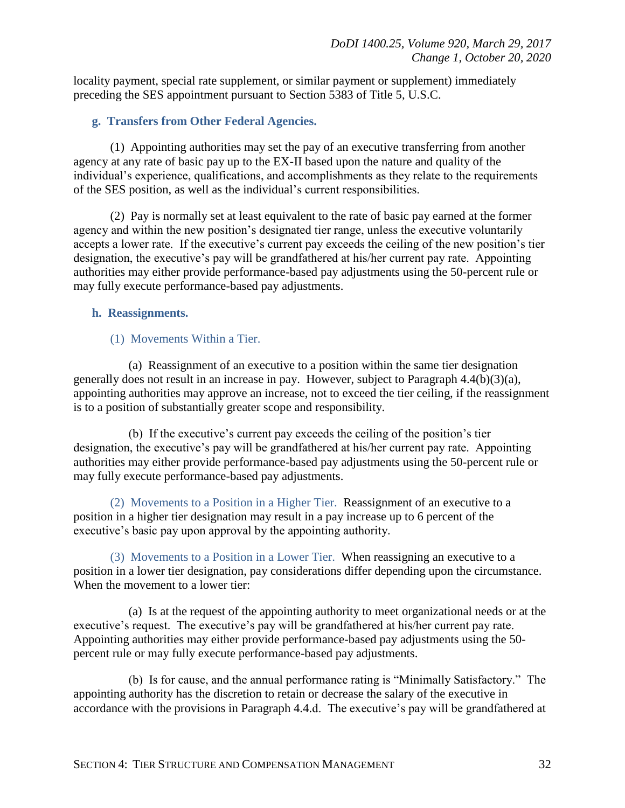locality payment, special rate supplement, or similar payment or supplement) immediately preceding the SES appointment pursuant to Section 5383 of Title 5, U.S.C.

#### <span id="page-31-0"></span>**g. Transfers from Other Federal Agencies.**

(1) Appointing authorities may set the pay of an executive transferring from another agency at any rate of basic pay up to the EX-II based upon the nature and quality of the individual's experience, qualifications, and accomplishments as they relate to the requirements of the SES position, as well as the individual's current responsibilities.

(2) Pay is normally set at least equivalent to the rate of basic pay earned at the former agency and within the new position's designated tier range, unless the executive voluntarily accepts a lower rate. If the executive's current pay exceeds the ceiling of the new position's tier designation, the executive's pay will be grandfathered at his/her current pay rate. Appointing authorities may either provide performance-based pay adjustments using the 50-percent rule or may fully execute performance-based pay adjustments.

#### <span id="page-31-1"></span>**h. Reassignments.**

#### (1) Movements Within a Tier.

(a) Reassignment of an executive to a position within the same tier designation generally does not result in an increase in pay. However, subject to Paragraph 4.4(b)(3)(a), appointing authorities may approve an increase, not to exceed the tier ceiling, if the reassignment is to a position of substantially greater scope and responsibility.

(b) If the executive's current pay exceeds the ceiling of the position's tier designation, the executive's pay will be grandfathered at his/her current pay rate. Appointing authorities may either provide performance-based pay adjustments using the 50-percent rule or may fully execute performance-based pay adjustments.

(2) Movements to a Position in a Higher Tier. Reassignment of an executive to a position in a higher tier designation may result in a pay increase up to 6 percent of the executive's basic pay upon approval by the appointing authority.

(3) Movements to a Position in a Lower Tier. When reassigning an executive to a position in a lower tier designation, pay considerations differ depending upon the circumstance. When the movement to a lower tier:

(a) Is at the request of the appointing authority to meet organizational needs or at the executive's request. The executive's pay will be grandfathered at his/her current pay rate. Appointing authorities may either provide performance-based pay adjustments using the 50 percent rule or may fully execute performance-based pay adjustments.

(b) Is for cause, and the annual performance rating is "Minimally Satisfactory." The appointing authority has the discretion to retain or decrease the salary of the executive in accordance with the provisions in Paragraph 4.4.d. The executive's pay will be grandfathered at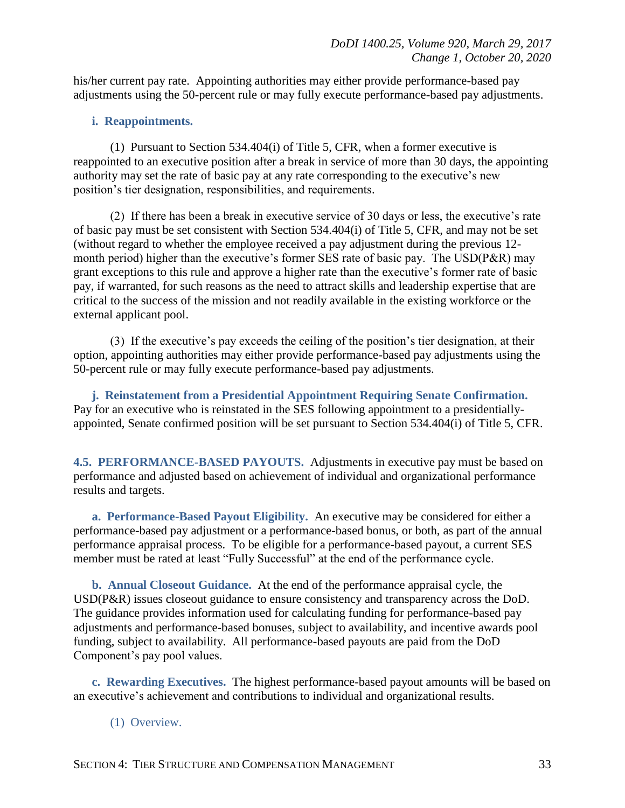his/her current pay rate. Appointing authorities may either provide performance-based pay adjustments using the 50-percent rule or may fully execute performance-based pay adjustments.

#### <span id="page-32-0"></span>**i. Reappointments.**

(1) Pursuant to Section 534.404(i) of Title 5, CFR, when a former executive is reappointed to an executive position after a break in service of more than 30 days, the appointing authority may set the rate of basic pay at any rate corresponding to the executive's new position's tier designation, responsibilities, and requirements.

(2) If there has been a break in executive service of 30 days or less, the executive's rate of basic pay must be set consistent with Section 534.404(i) of Title 5, CFR, and may not be set (without regard to whether the employee received a pay adjustment during the previous 12 month period) higher than the executive's former SES rate of basic pay. The USD(P&R) may grant exceptions to this rule and approve a higher rate than the executive's former rate of basic pay, if warranted, for such reasons as the need to attract skills and leadership expertise that are critical to the success of the mission and not readily available in the existing workforce or the external applicant pool.

(3) If the executive's pay exceeds the ceiling of the position's tier designation, at their option, appointing authorities may either provide performance-based pay adjustments using the 50-percent rule or may fully execute performance-based pay adjustments.

<span id="page-32-1"></span>**j. Reinstatement from a Presidential Appointment Requiring Senate Confirmation.**  Pay for an executive who is reinstated in the SES following appointment to a presidentiallyappointed, Senate confirmed position will be set pursuant to Section 534.404(i) of Title 5, CFR.

<span id="page-32-2"></span>**4.5. PERFORMANCE-BASED PAYOUTS.** Adjustments in executive pay must be based on performance and adjusted based on achievement of individual and organizational performance results and targets.

<span id="page-32-3"></span>**a. Performance-Based Payout Eligibility.** An executive may be considered for either a performance-based pay adjustment or a performance-based bonus, or both, as part of the annual performance appraisal process. To be eligible for a performance-based payout, a current SES member must be rated at least "Fully Successful" at the end of the performance cycle.

<span id="page-32-4"></span>**b. Annual Closeout Guidance.** At the end of the performance appraisal cycle, the USD(P&R) issues closeout guidance to ensure consistency and transparency across the DoD. The guidance provides information used for calculating funding for performance-based pay adjustments and performance-based bonuses, subject to availability, and incentive awards pool funding, subject to availability. All performance-based payouts are paid from the DoD Component's pay pool values.

<span id="page-32-5"></span>**c. Rewarding Executives.** The highest performance-based payout amounts will be based on an executive's achievement and contributions to individual and organizational results.

#### (1) Overview.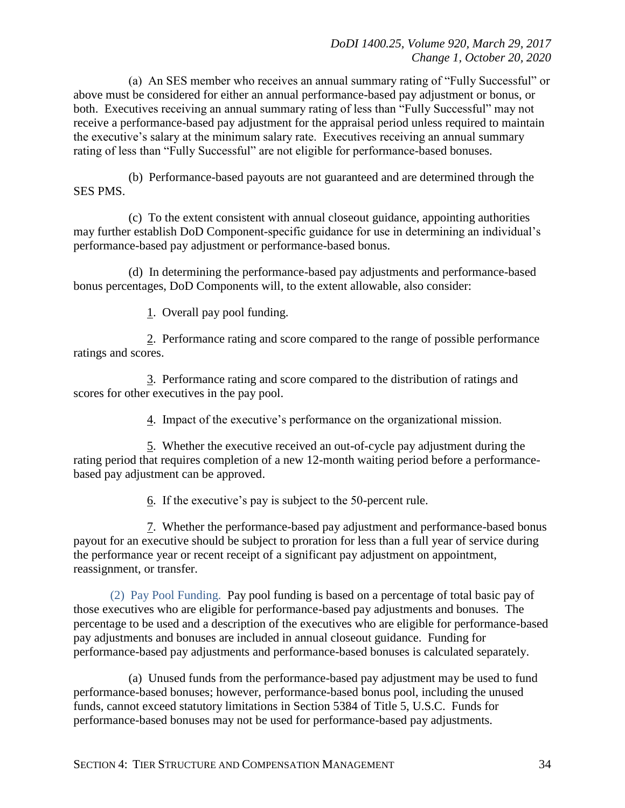(a) An SES member who receives an annual summary rating of "Fully Successful" or above must be considered for either an annual performance-based pay adjustment or bonus, or both. Executives receiving an annual summary rating of less than "Fully Successful" may not receive a performance-based pay adjustment for the appraisal period unless required to maintain the executive's salary at the minimum salary rate. Executives receiving an annual summary rating of less than "Fully Successful" are not eligible for performance-based bonuses.

(b) Performance-based payouts are not guaranteed and are determined through the SES PMS.

(c) To the extent consistent with annual closeout guidance, appointing authorities may further establish DoD Component-specific guidance for use in determining an individual's performance-based pay adjustment or performance-based bonus.

(d) In determining the performance-based pay adjustments and performance-based bonus percentages, DoD Components will, to the extent allowable, also consider:

1. Overall pay pool funding.

2. Performance rating and score compared to the range of possible performance ratings and scores.

3. Performance rating and score compared to the distribution of ratings and scores for other executives in the pay pool.

4. Impact of the executive's performance on the organizational mission.

5. Whether the executive received an out-of-cycle pay adjustment during the rating period that requires completion of a new 12-month waiting period before a performancebased pay adjustment can be approved.

6. If the executive's pay is subject to the 50-percent rule.

7. Whether the performance-based pay adjustment and performance-based bonus payout for an executive should be subject to proration for less than a full year of service during the performance year or recent receipt of a significant pay adjustment on appointment, reassignment, or transfer.

(2) Pay Pool Funding. Pay pool funding is based on a percentage of total basic pay of those executives who are eligible for performance-based pay adjustments and bonuses. The percentage to be used and a description of the executives who are eligible for performance-based pay adjustments and bonuses are included in annual closeout guidance. Funding for performance-based pay adjustments and performance-based bonuses is calculated separately.

(a) Unused funds from the performance-based pay adjustment may be used to fund performance-based bonuses; however, performance-based bonus pool, including the unused funds, cannot exceed statutory limitations in Section 5384 of Title 5, U.S.C. Funds for performance-based bonuses may not be used for performance-based pay adjustments.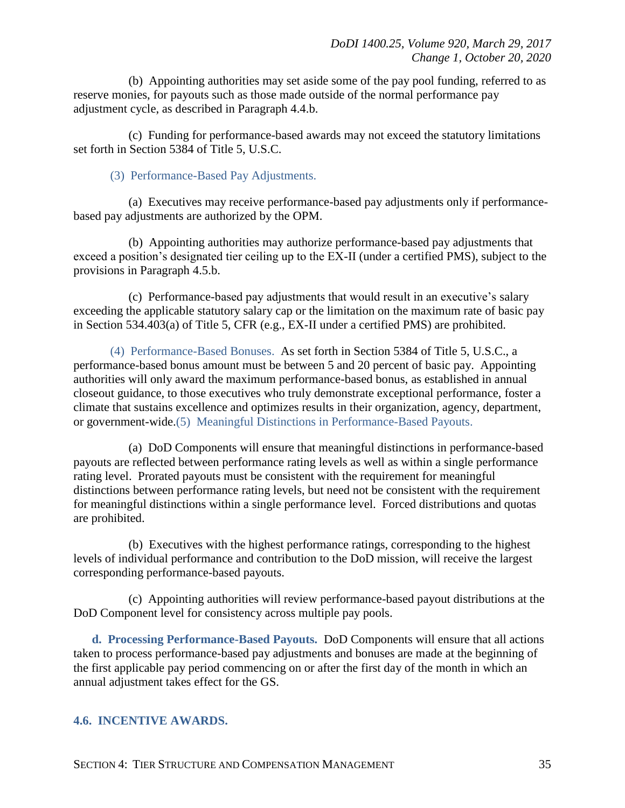(b) Appointing authorities may set aside some of the pay pool funding, referred to as reserve monies, for payouts such as those made outside of the normal performance pay adjustment cycle, as described in Paragraph 4.4.b.

(c) Funding for performance-based awards may not exceed the statutory limitations set forth in Section 5384 of Title 5, U.S.C.

(3) Performance-Based Pay Adjustments.

(a) Executives may receive performance-based pay adjustments only if performancebased pay adjustments are authorized by the OPM.

(b) Appointing authorities may authorize performance-based pay adjustments that exceed a position's designated tier ceiling up to the EX-II (under a certified PMS), subject to the provisions in Paragraph 4.5.b.

(c) Performance-based pay adjustments that would result in an executive's salary exceeding the applicable statutory salary cap or the limitation on the maximum rate of basic pay in Section 534.403(a) of Title 5, CFR (e.g., EX-II under a certified PMS) are prohibited.

(4) Performance-Based Bonuses. As set forth in Section 5384 of Title 5, U.S.C., a performance-based bonus amount must be between 5 and 20 percent of basic pay. Appointing authorities will only award the maximum performance-based bonus, as established in annual closeout guidance, to those executives who truly demonstrate exceptional performance, foster a climate that sustains excellence and optimizes results in their organization, agency, department, or government-wide.(5) Meaningful Distinctions in Performance-Based Payouts.

(a) DoD Components will ensure that meaningful distinctions in performance-based payouts are reflected between performance rating levels as well as within a single performance rating level. Prorated payouts must be consistent with the requirement for meaningful distinctions between performance rating levels, but need not be consistent with the requirement for meaningful distinctions within a single performance level. Forced distributions and quotas are prohibited.

(b) Executives with the highest performance ratings, corresponding to the highest levels of individual performance and contribution to the DoD mission, will receive the largest corresponding performance-based payouts.

(c) Appointing authorities will review performance-based payout distributions at the DoD Component level for consistency across multiple pay pools.

<span id="page-34-0"></span>**d. Processing Performance-Based Payouts.** DoD Components will ensure that all actions taken to process performance-based pay adjustments and bonuses are made at the beginning of the first applicable pay period commencing on or after the first day of the month in which an annual adjustment takes effect for the GS.

#### <span id="page-34-1"></span>**4.6. INCENTIVE AWARDS.**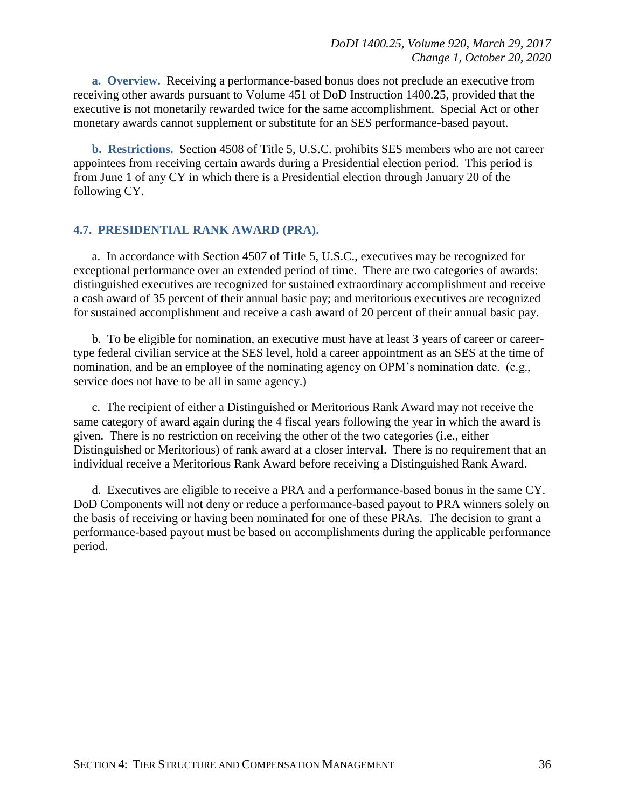<span id="page-35-0"></span>**a. Overview.** Receiving a performance-based bonus does not preclude an executive from receiving other awards pursuant to Volume 451 of DoD Instruction 1400.25, provided that the executive is not monetarily rewarded twice for the same accomplishment. Special Act or other monetary awards cannot supplement or substitute for an SES performance-based payout.

<span id="page-35-1"></span>**b. Restrictions.** Section 4508 of Title 5, U.S.C. prohibits SES members who are not career appointees from receiving certain awards during a Presidential election period. This period is from June 1 of any CY in which there is a Presidential election through January 20 of the following CY.

#### <span id="page-35-2"></span>**4.7. PRESIDENTIAL RANK AWARD (PRA).**

a. In accordance with Section 4507 of Title 5, U.S.C., executives may be recognized for exceptional performance over an extended period of time. There are two categories of awards: distinguished executives are recognized for sustained extraordinary accomplishment and receive a cash award of 35 percent of their annual basic pay; and meritorious executives are recognized for sustained accomplishment and receive a cash award of 20 percent of their annual basic pay.

b. To be eligible for nomination, an executive must have at least 3 years of career or careertype federal civilian service at the SES level, hold a career appointment as an SES at the time of nomination, and be an employee of the nominating agency on OPM's nomination date. (e.g., service does not have to be all in same agency.)

c. The recipient of either a Distinguished or Meritorious Rank Award may not receive the same category of award again during the 4 fiscal years following the year in which the award is given. There is no restriction on receiving the other of the two categories (i.e., either Distinguished or Meritorious) of rank award at a closer interval. There is no requirement that an individual receive a Meritorious Rank Award before receiving a Distinguished Rank Award.

d. Executives are eligible to receive a PRA and a performance-based bonus in the same CY. DoD Components will not deny or reduce a performance-based payout to PRA winners solely on the basis of receiving or having been nominated for one of these PRAs. The decision to grant a performance-based payout must be based on accomplishments during the applicable performance period.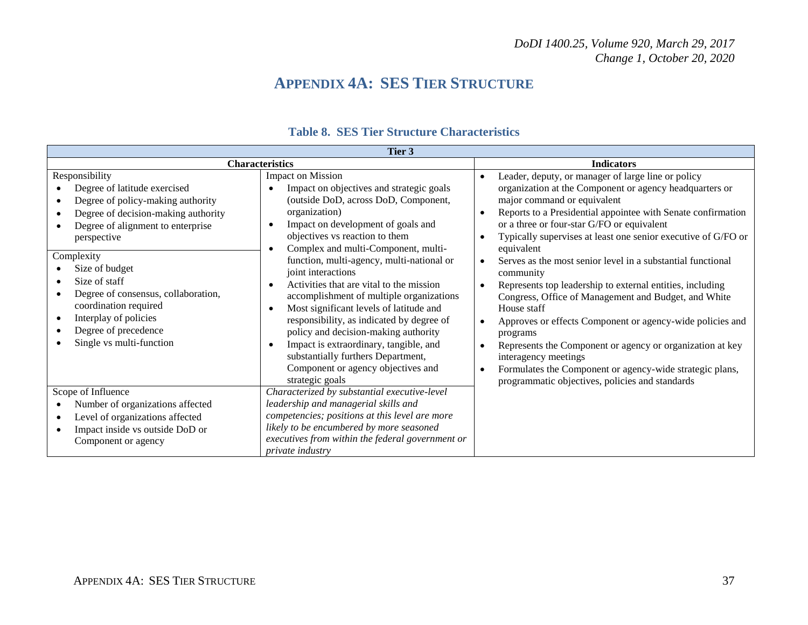## **APPENDIX 4A: SES TIER STRUCTURE**

<span id="page-36-0"></span>

| Tier 3                                                                                                                                                                                                                                                                                                                                                                       |                                                                                                                                                                                                                                                                                                                                                                                                                                                                                                                                                                                                                                                                                  |                                                                                                                                                                                                                                                                                                                                                                                                                                                                                                                                                                                                                                                                                                                                                                                                                                                                                                                                   |  |  |
|------------------------------------------------------------------------------------------------------------------------------------------------------------------------------------------------------------------------------------------------------------------------------------------------------------------------------------------------------------------------------|----------------------------------------------------------------------------------------------------------------------------------------------------------------------------------------------------------------------------------------------------------------------------------------------------------------------------------------------------------------------------------------------------------------------------------------------------------------------------------------------------------------------------------------------------------------------------------------------------------------------------------------------------------------------------------|-----------------------------------------------------------------------------------------------------------------------------------------------------------------------------------------------------------------------------------------------------------------------------------------------------------------------------------------------------------------------------------------------------------------------------------------------------------------------------------------------------------------------------------------------------------------------------------------------------------------------------------------------------------------------------------------------------------------------------------------------------------------------------------------------------------------------------------------------------------------------------------------------------------------------------------|--|--|
| <b>Characteristics</b>                                                                                                                                                                                                                                                                                                                                                       |                                                                                                                                                                                                                                                                                                                                                                                                                                                                                                                                                                                                                                                                                  | <b>Indicators</b>                                                                                                                                                                                                                                                                                                                                                                                                                                                                                                                                                                                                                                                                                                                                                                                                                                                                                                                 |  |  |
| Responsibility<br>Degree of latitude exercised<br>Degree of policy-making authority<br>Degree of decision-making authority<br>Degree of alignment to enterprise<br>perspective<br>Complexity<br>Size of budget<br>Size of staff<br>Degree of consensus, collaboration,<br>coordination required<br>Interplay of policies<br>Degree of precedence<br>Single vs multi-function | <b>Impact on Mission</b><br>Impact on objectives and strategic goals<br>(outside DoD, across DoD, Component,<br>organization)<br>Impact on development of goals and<br>objectives vs reaction to them<br>Complex and multi-Component, multi-<br>function, multi-agency, multi-national or<br>joint interactions<br>Activities that are vital to the mission<br>accomplishment of multiple organizations<br>Most significant levels of latitude and<br>responsibility, as indicated by degree of<br>policy and decision-making authority<br>Impact is extraordinary, tangible, and<br>substantially furthers Department,<br>Component or agency objectives and<br>strategic goals | Leader, deputy, or manager of large line or policy<br>$\bullet$<br>organization at the Component or agency headquarters or<br>major command or equivalent<br>Reports to a Presidential appointee with Senate confirmation<br>$\bullet$<br>or a three or four-star G/FO or equivalent<br>Typically supervises at least one senior executive of G/FO or<br>$\bullet$<br>equivalent<br>Serves as the most senior level in a substantial functional<br>$\bullet$<br>community<br>Represents top leadership to external entities, including<br>$\bullet$<br>Congress, Office of Management and Budget, and White<br>House staff<br>Approves or effects Component or agency-wide policies and<br>programs<br>Represents the Component or agency or organization at key<br>$\bullet$<br>interagency meetings<br>Formulates the Component or agency-wide strategic plans,<br>$\bullet$<br>programmatic objectives, policies and standards |  |  |
| Scope of Influence<br>Number of organizations affected<br>Level of organizations affected<br>Impact inside vs outside DoD or<br>Component or agency                                                                                                                                                                                                                          | Characterized by substantial executive-level<br>leadership and managerial skills and<br>competencies; positions at this level are more<br>likely to be encumbered by more seasoned<br>executives from within the federal government or<br>private industry                                                                                                                                                                                                                                                                                                                                                                                                                       |                                                                                                                                                                                                                                                                                                                                                                                                                                                                                                                                                                                                                                                                                                                                                                                                                                                                                                                                   |  |  |

### **Table 8. SES Tier Structure Characteristics**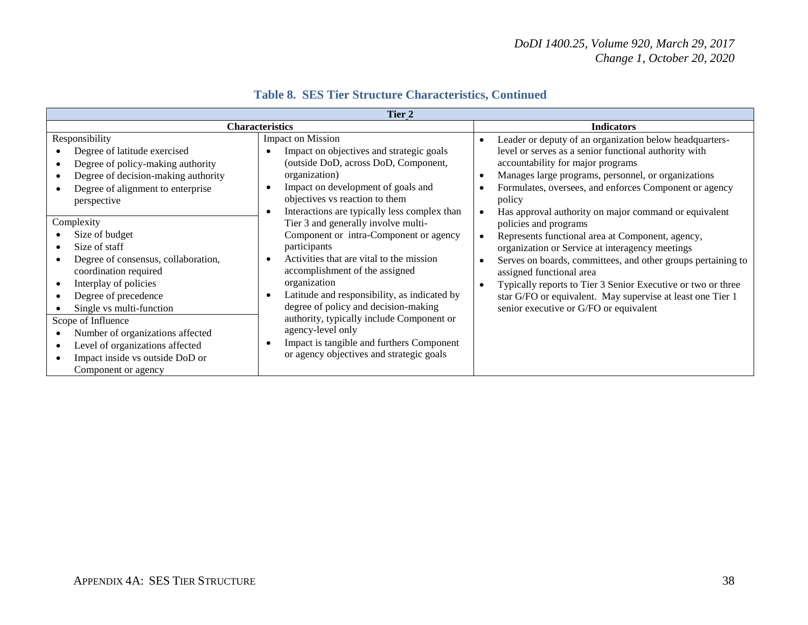| Tier 2                 |                                                                                                                                                                                                                                        |                                                                                                                                                                                                                                                                                                                                                       |                                                                                                                                                                                                                                                                                                                                                                                                  |  |
|------------------------|----------------------------------------------------------------------------------------------------------------------------------------------------------------------------------------------------------------------------------------|-------------------------------------------------------------------------------------------------------------------------------------------------------------------------------------------------------------------------------------------------------------------------------------------------------------------------------------------------------|--------------------------------------------------------------------------------------------------------------------------------------------------------------------------------------------------------------------------------------------------------------------------------------------------------------------------------------------------------------------------------------------------|--|
| <b>Characteristics</b> |                                                                                                                                                                                                                                        | <b>Indicators</b>                                                                                                                                                                                                                                                                                                                                     |                                                                                                                                                                                                                                                                                                                                                                                                  |  |
|                        | Responsibility<br>Degree of latitude exercised<br>Degree of policy-making authority<br>Degree of decision-making authority                                                                                                             | <b>Impact on Mission</b><br>Impact on objectives and strategic goals<br>(outside DoD, across DoD, Component,<br>organization)                                                                                                                                                                                                                         | Leader or deputy of an organization below headquarters-<br>$\bullet$<br>level or serves as a senior functional authority with<br>accountability for major programs<br>Manages large programs, personnel, or organizations                                                                                                                                                                        |  |
|                        | Degree of alignment to enterprise<br>perspective                                                                                                                                                                                       | Impact on development of goals and<br>objectives vs reaction to them<br>Interactions are typically less complex than                                                                                                                                                                                                                                  | Formulates, oversees, and enforces Component or agency<br>policy<br>Has approval authority on major command or equivalent                                                                                                                                                                                                                                                                        |  |
| Complexity             | Size of budget<br>Size of staff<br>Degree of consensus, collaboration,<br>coordination required<br>Interplay of policies<br>Degree of precedence<br>Single vs multi-function<br>Scope of Influence<br>Number of organizations affected | Tier 3 and generally involve multi-<br>Component or intra-Component or agency<br>participants<br>Activities that are vital to the mission<br>accomplishment of the assigned<br>organization<br>Latitude and responsibility, as indicated by<br>degree of policy and decision-making<br>authority, typically include Component or<br>agency-level only | policies and programs<br>Represents functional area at Component, agency,<br>organization or Service at interagency meetings<br>Serves on boards, committees, and other groups pertaining to<br>assigned functional area<br>Typically reports to Tier 3 Senior Executive or two or three<br>star G/FO or equivalent. May supervise at least one Tier 1<br>senior executive or G/FO or equivalent |  |
|                        | Level of organizations affected<br>Impact inside vs outside DoD or<br>Component or agency                                                                                                                                              | Impact is tangible and furthers Component<br>or agency objectives and strategic goals                                                                                                                                                                                                                                                                 |                                                                                                                                                                                                                                                                                                                                                                                                  |  |

### **Table 8. SES Tier Structure Characteristics, Continued**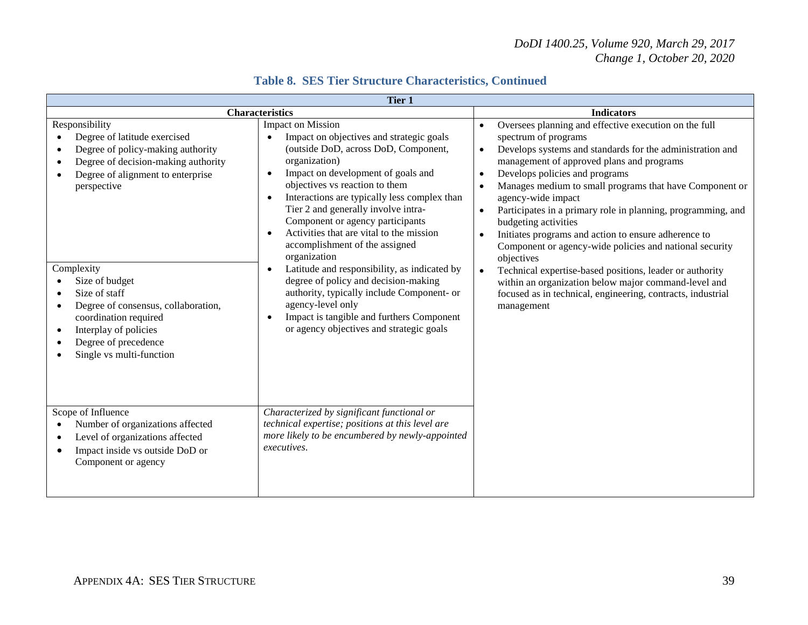| Tier 1                                                                                                                                                                                                                                                                                                                                                                                    |                                                                                                                                                                                                                                                                                                                                                                                                                                                                                                                                                                                                                                                                                                                                                     |                                                                                                                                                                                                                                                                                                                                                                                                                                                                                                                                                                                                                                                                                                                                                                                                       |  |  |  |
|-------------------------------------------------------------------------------------------------------------------------------------------------------------------------------------------------------------------------------------------------------------------------------------------------------------------------------------------------------------------------------------------|-----------------------------------------------------------------------------------------------------------------------------------------------------------------------------------------------------------------------------------------------------------------------------------------------------------------------------------------------------------------------------------------------------------------------------------------------------------------------------------------------------------------------------------------------------------------------------------------------------------------------------------------------------------------------------------------------------------------------------------------------------|-------------------------------------------------------------------------------------------------------------------------------------------------------------------------------------------------------------------------------------------------------------------------------------------------------------------------------------------------------------------------------------------------------------------------------------------------------------------------------------------------------------------------------------------------------------------------------------------------------------------------------------------------------------------------------------------------------------------------------------------------------------------------------------------------------|--|--|--|
| <b>Characteristics</b>                                                                                                                                                                                                                                                                                                                                                                    | <b>Indicators</b>                                                                                                                                                                                                                                                                                                                                                                                                                                                                                                                                                                                                                                                                                                                                   |                                                                                                                                                                                                                                                                                                                                                                                                                                                                                                                                                                                                                                                                                                                                                                                                       |  |  |  |
| Responsibility<br>Degree of latitude exercised<br>Degree of policy-making authority<br>Degree of decision-making authority<br>Degree of alignment to enterprise<br>perspective<br>Complexity<br>Size of budget<br>Size of staff<br>Degree of consensus, collaboration,<br>coordination required<br>Interplay of policies<br>$\bullet$<br>Degree of precedence<br>Single vs multi-function | <b>Impact on Mission</b><br>Impact on objectives and strategic goals<br>$\bullet$<br>(outside DoD, across DoD, Component,<br>organization)<br>Impact on development of goals and<br>$\bullet$<br>objectives vs reaction to them<br>Interactions are typically less complex than<br>Tier 2 and generally involve intra-<br>Component or agency participants<br>Activities that are vital to the mission<br>$\bullet$<br>accomplishment of the assigned<br>organization<br>Latitude and responsibility, as indicated by<br>$\bullet$<br>degree of policy and decision-making<br>authority, typically include Component- or<br>agency-level only<br>Impact is tangible and furthers Component<br>$\bullet$<br>or agency objectives and strategic goals | Oversees planning and effective execution on the full<br>$\bullet$<br>spectrum of programs<br>Develops systems and standards for the administration and<br>$\bullet$<br>management of approved plans and programs<br>Develops policies and programs<br>$\bullet$<br>Manages medium to small programs that have Component or<br>agency-wide impact<br>Participates in a primary role in planning, programming, and<br>$\bullet$<br>budgeting activities<br>Initiates programs and action to ensure adherence to<br>Component or agency-wide policies and national security<br>objectives<br>Technical expertise-based positions, leader or authority<br>$\bullet$<br>within an organization below major command-level and<br>focused as in technical, engineering, contracts, industrial<br>management |  |  |  |
| Scope of Influence<br>Number of organizations affected<br>Level of organizations affected<br>Impact inside vs outside DoD or<br>Component or agency                                                                                                                                                                                                                                       | Characterized by significant functional or<br>technical expertise; positions at this level are<br>more likely to be encumbered by newly-appointed<br>executives.                                                                                                                                                                                                                                                                                                                                                                                                                                                                                                                                                                                    |                                                                                                                                                                                                                                                                                                                                                                                                                                                                                                                                                                                                                                                                                                                                                                                                       |  |  |  |

### **Table 8. SES Tier Structure Characteristics, Continued**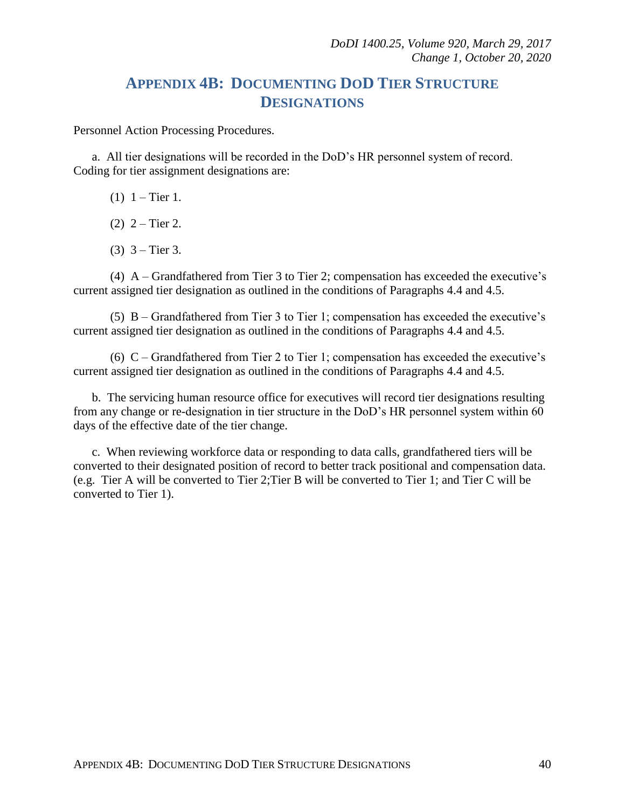## **APPENDIX 4B: DOCUMENTING DOD TIER STRUCTURE DESIGNATIONS**

<span id="page-39-0"></span>Personnel Action Processing Procedures.

a. All tier designations will be recorded in the DoD's HR personnel system of record. Coding for tier assignment designations are:

- (1)  $1 -$  Tier 1.
- (2)  $2 -$ Tier 2.
- $(3)$  3 Tier 3.

(4) A – Grandfathered from Tier 3 to Tier 2; compensation has exceeded the executive's current assigned tier designation as outlined in the conditions of Paragraphs 4.4 and 4.5.

(5) B – Grandfathered from Tier 3 to Tier 1; compensation has exceeded the executive's current assigned tier designation as outlined in the conditions of Paragraphs 4.4 and 4.5.

(6) C – Grandfathered from Tier 2 to Tier 1; compensation has exceeded the executive's current assigned tier designation as outlined in the conditions of Paragraphs 4.4 and 4.5.

b. The servicing human resource office for executives will record tier designations resulting from any change or re-designation in tier structure in the DoD's HR personnel system within 60 days of the effective date of the tier change.

c. When reviewing workforce data or responding to data calls, grandfathered tiers will be converted to their designated position of record to better track positional and compensation data. (e.g. Tier A will be converted to Tier 2;Tier B will be converted to Tier 1; and Tier C will be converted to Tier 1).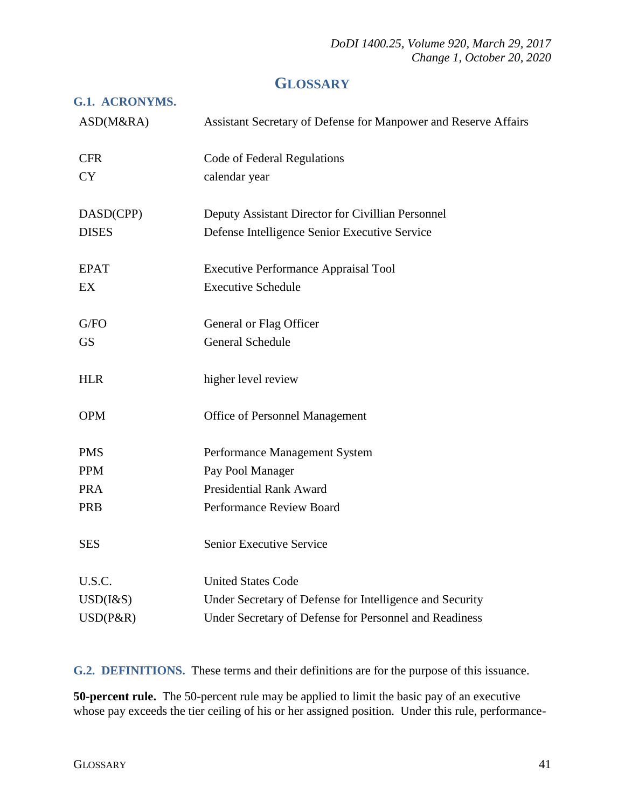## **GLOSSARY**

#### <span id="page-40-1"></span><span id="page-40-0"></span>**G.1. ACRONYMS.**

| ASD(M&RA)    | Assistant Secretary of Defense for Manpower and Reserve Affairs |
|--------------|-----------------------------------------------------------------|
| <b>CFR</b>   | Code of Federal Regulations                                     |
| <b>CY</b>    | calendar year                                                   |
| DASD(CPP)    | Deputy Assistant Director for Civillian Personnel               |
| <b>DISES</b> | Defense Intelligence Senior Executive Service                   |
| <b>EPAT</b>  | <b>Executive Performance Appraisal Tool</b>                     |
| EX           | <b>Executive Schedule</b>                                       |
| G/FO         | General or Flag Officer                                         |
| <b>GS</b>    | <b>General Schedule</b>                                         |
| <b>HLR</b>   | higher level review                                             |
| <b>OPM</b>   | Office of Personnel Management                                  |
| <b>PMS</b>   | Performance Management System                                   |
| <b>PPM</b>   | Pay Pool Manager                                                |
| <b>PRA</b>   | <b>Presidential Rank Award</b>                                  |
| PRB          | Performance Review Board                                        |
| <b>SES</b>   | Senior Executive Service                                        |
| U.S.C.       | <b>United States Code</b>                                       |
| USD(I&S)     | Under Secretary of Defense for Intelligence and Security        |
| $USD(P\&R)$  | Under Secretary of Defense for Personnel and Readiness          |

<span id="page-40-2"></span>**G.2. DEFINITIONS.** These terms and their definitions are for the purpose of this issuance.

**50-percent rule.** The 50-percent rule may be applied to limit the basic pay of an executive whose pay exceeds the tier ceiling of his or her assigned position. Under this rule, performance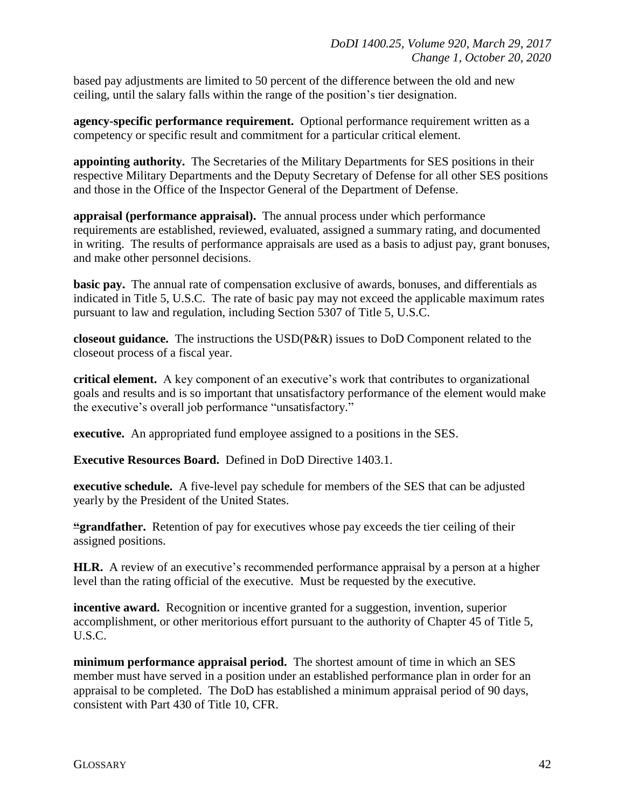based pay adjustments are limited to 50 percent of the difference between the old and new ceiling, until the salary falls within the range of the position's tier designation.

**agency-specific performance requirement.** Optional performance requirement written as a competency or specific result and commitment for a particular critical element.

**appointing authority.** The Secretaries of the Military Departments for SES positions in their respective Military Departments and the Deputy Secretary of Defense for all other SES positions and those in the Office of the Inspector General of the Department of Defense.

**appraisal (performance appraisal).** The annual process under which performance requirements are established, reviewed, evaluated, assigned a summary rating, and documented in writing. The results of performance appraisals are used as a basis to adjust pay, grant bonuses, and make other personnel decisions.

**basic pay.** The annual rate of compensation exclusive of awards, bonuses, and differentials as indicated in Title 5, U.S.C. The rate of basic pay may not exceed the applicable maximum rates pursuant to law and regulation, including Section 5307 of Title 5, U.S.C.

**closeout guidance.** The instructions the USD(P&R) issues to DoD Component related to the closeout process of a fiscal year.

**critical element.** A key component of an executive's work that contributes to organizational goals and results and is so important that unsatisfactory performance of the element would make the executive's overall job performance "unsatisfactory."

**executive.** An appropriated fund employee assigned to a positions in the SES.

**Executive Resources Board.** Defined in DoD Directive 1403.1.

**executive schedule.** A five-level pay schedule for members of the SES that can be adjusted yearly by the President of the United States.

**"grandfather.** Retention of pay for executives whose pay exceeds the tier ceiling of their assigned positions.

**HLR.** A review of an executive's recommended performance appraisal by a person at a higher level than the rating official of the executive. Must be requested by the executive.

**incentive award.** Recognition or incentive granted for a suggestion, invention, superior accomplishment, or other meritorious effort pursuant to the authority of Chapter 45 of Title 5, U.S.C.

**minimum performance appraisal period.** The shortest amount of time in which an SES member must have served in a position under an established performance plan in order for an appraisal to be completed. The DoD has established a minimum appraisal period of 90 days, consistent with Part 430 of Title 10, CFR.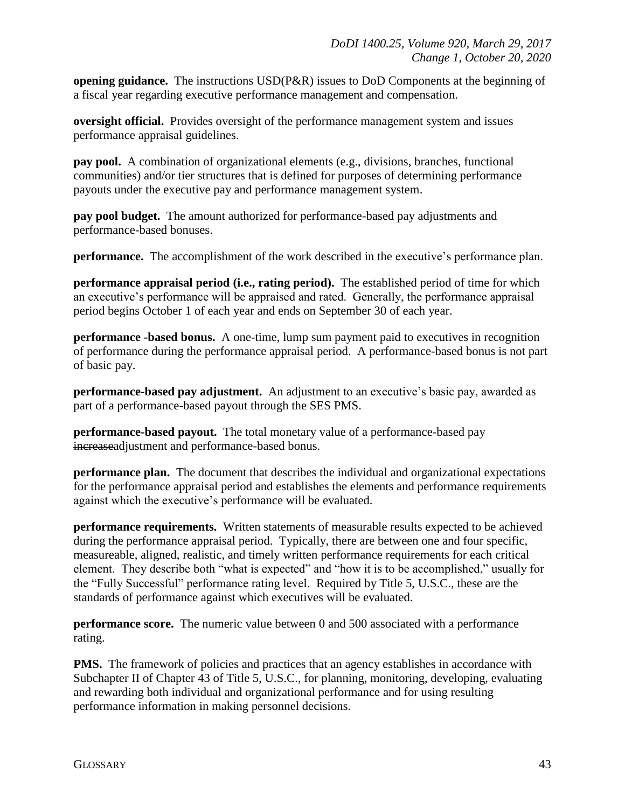**opening guidance.** The instructions USD(P&R) issues to DoD Components at the beginning of a fiscal year regarding executive performance management and compensation.

**oversight official.** Provides oversight of the performance management system and issues performance appraisal guidelines.

**pay pool.** A combination of organizational elements (e.g., divisions, branches, functional communities) and/or tier structures that is defined for purposes of determining performance payouts under the executive pay and performance management system.

**pay pool budget.** The amount authorized for performance-based pay adjustments and performance-based bonuses.

**performance.** The accomplishment of the work described in the executive's performance plan.

**performance appraisal period (i.e., rating period).** The established period of time for which an executive's performance will be appraised and rated. Generally, the performance appraisal period begins October 1 of each year and ends on September 30 of each year.

**performance -based bonus.** A one-time, lump sum payment paid to executives in recognition of performance during the performance appraisal period. A performance-based bonus is not part of basic pay.

**performance-based pay adjustment.** An adjustment to an executive's basic pay, awarded as part of a performance-based payout through the SES PMS.

**performance-based payout.** The total monetary value of a performance-based pay increaseadjustment and performance-based bonus.

**performance plan.** The document that describes the individual and organizational expectations for the performance appraisal period and establishes the elements and performance requirements against which the executive's performance will be evaluated.

**performance requirements.** Written statements of measurable results expected to be achieved during the performance appraisal period. Typically, there are between one and four specific, measureable, aligned, realistic, and timely written performance requirements for each critical element. They describe both "what is expected" and "how it is to be accomplished," usually for the "Fully Successful" performance rating level. Required by Title 5, U.S.C., these are the standards of performance against which executives will be evaluated.

**performance score.** The numeric value between 0 and 500 associated with a performance rating.

**PMS.** The framework of policies and practices that an agency establishes in accordance with Subchapter II of Chapter 43 of Title 5, U.S.C., for planning, monitoring, developing, evaluating and rewarding both individual and organizational performance and for using resulting performance information in making personnel decisions.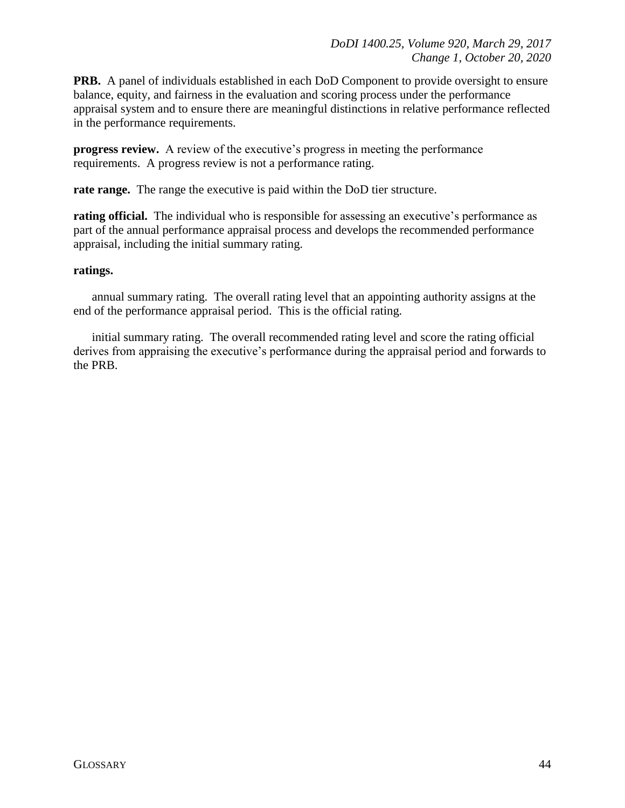**PRB.** A panel of individuals established in each DoD Component to provide oversight to ensure balance, equity, and fairness in the evaluation and scoring process under the performance appraisal system and to ensure there are meaningful distinctions in relative performance reflected in the performance requirements.

**progress review.** A review of the executive's progress in meeting the performance requirements. A progress review is not a performance rating.

**rate range.** The range the executive is paid within the DoD tier structure.

**rating official.** The individual who is responsible for assessing an executive's performance as part of the annual performance appraisal process and develops the recommended performance appraisal, including the initial summary rating.

#### **ratings.**

annual summary rating. The overall rating level that an appointing authority assigns at the end of the performance appraisal period. This is the official rating.

initial summary rating. The overall recommended rating level and score the rating official derives from appraising the executive's performance during the appraisal period and forwards to the PRB.